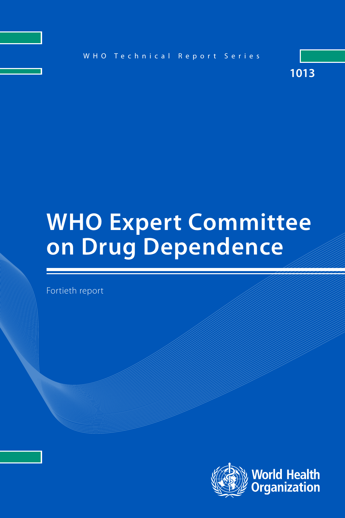

# **WHO Expert Committee on Drug Dependence**

Fortieth report

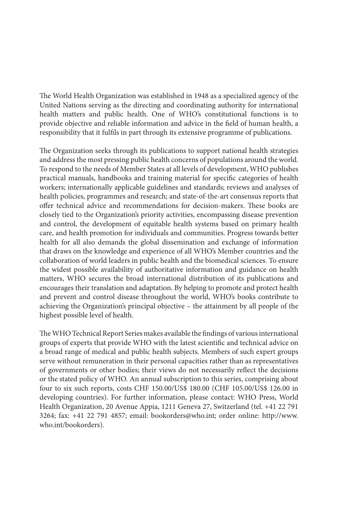The World Health Organization was established in 1948 as a specialized agency of the United Nations serving as the directing and coordinating authority for international health matters and public health. One of WHO's constitutional functions is to provide objective and reliable information and advice in the field of human health, a responsibility that it fulfils in part through its extensive programme of publications.

The Organization seeks through its publications to support national health strategies and address the most pressing public health concerns of populations around the world. To respond to the needs of Member States at all levels of development, WHO publishes practical manuals, handbooks and training material for specific categories of health workers; internationally applicable guidelines and standards; reviews and analyses of health policies, programmes and research; and state-of-the-art consensus reports that offer technical advice and recommendations for decision-makers. These books are closely tied to the Organization's priority activities, encompassing disease prevention and control, the development of equitable health systems based on primary health care, and health promotion for individuals and communities. Progress towards better health for all also demands the global dissemination and exchange of information that draws on the knowledge and experience of all WHO's Member countries and the collaboration of world leaders in public health and the biomedical sciences. To ensure the widest possible availability of authoritative information and guidance on health matters, WHO secures the broad international distribution of its publications and encourages their translation and adaptation. By helping to promote and protect health and prevent and control disease throughout the world, WHO's books contribute to achieving the Organization's principal objective – the attainment by all people of the highest possible level of health.

The WHO Technical Report Series makes available the findings of various international groups of experts that provide WHO with the latest scientific and technical advice on a broad range of medical and public health subjects. Members of such expert groups serve without remuneration in their personal capacities rather than as representatives of governments or other bodies; their views do not necessarily reflect the decisions or the stated policy of WHO. An annual subscription to this series, comprising about four to six such reports, costs CHF 150.00/US\$ 180.00 (CHF 105.00/US\$ 126.00 in developing countries). For further information, please contact: WHO Press, World Health Organization, 20 Avenue Appia, 1211 Geneva 27, Switzerland (tel. +41 22 791 3264; fax: +41 22 791 4857; email: bookorders@who.int; order online: http://www. who.int/bookorders).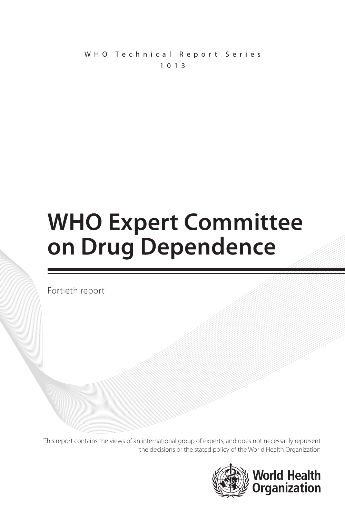WHO Technical Report Series 1013

# **WHO Expert Committee on Drug Dependence**

Fortieth report

This report contains the views of an international group of experts, and does not necessarily represent the decisions or the stated policy of the World Health Organization

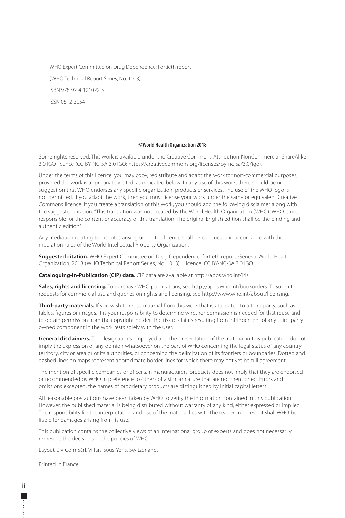WHO Expert Committee on Drug Dependence: Fortieth report (WHO Technical Report Series, No. 1013) ISBN 978-92-4-121022-5 ISSN 0512-3054

#### **©World Health Organization 2018**

Some rights reserved. This work is available under the Creative Commons Attribution-NonCommercial-ShareAlike 3.0 IGO licence (CC BY-NC-SA 3.0 IGO; https://creativecommons.org/licenses/by-nc-sa/3.0/igo).

Under the terms of this licence, you may copy, redistribute and adapt the work for non-commercial purposes, provided the work is appropriately cited, as indicated below. In any use of this work, there should be no suggestion that WHO endorses any specific organization, products or services. The use of the WHO logo is not permitted. If you adapt the work, then you must license your work under the same or equivalent Creative Commons licence. If you create a translation of this work, you should add the following disclaimer along with the suggested citation: "This translation was not created by the World Health Organization (WHO). WHO is not responsible for the content or accuracy of this translation. The original English edition shall be the binding and authentic edition".

Any mediation relating to disputes arising under the licence shall be conducted in accordance with the mediation rules of the World Intellectual Property Organization.

**Suggested citation.** WHO Expert Committee on Drug Dependence, fortieth report. Geneva: World Health Organization; 2018 (WHO Technical Report Series, No. 1013).. Licence: CC BY-NC-SA 3.0 IGO.

**Cataloguing-in-Publication (CIP) data.** CIP data are available at http://apps.who.int/iris.

**Sales, rights and licensing.** To purchase WHO publications, see http://apps.who.int/bookorders. To submit requests for commercial use and queries on rights and licensing, see http://www.who.int/about/licensing.

**Third-party materials.** If you wish to reuse material from this work that is attributed to a third party, such as tables, figures or images, it is your responsibility to determine whether permission is needed for that reuse and to obtain permission from the copyright holder. The risk of claims resulting from infringement of any third-partyowned component in the work rests solely with the user.

**General disclaimers.** The designations employed and the presentation of the material in this publication do not imply the expression of any opinion whatsoever on the part of WHO concerning the legal status of any country, territory, city or area or of its authorities, or concerning the delimitation of its frontiers or boundaries. Dotted and dashed lines on maps represent approximate border lines for which there may not yet be full agreement.

The mention of specific companies or of certain manufacturers' products does not imply that they are endorsed or recommended by WHO in preference to others of a similar nature that are not mentioned. Errors and omissions excepted, the names of proprietary products are distinguished by initial capital letters.

All reasonable precautions have been taken by WHO to verify the information contained in this publication. However, the published material is being distributed without warranty of any kind, either expressed or implied. The responsibility for the interpretation and use of the material lies with the reader. In no event shall WHO be liable for damages arising from its use.

This publication contains the collective views of an international group of experts and does not necessarily represent the decisions or the policies of WHO.

Layout L'IV Com Sàrl, Villars-sous-Yens, Switzerland.

Printed in France.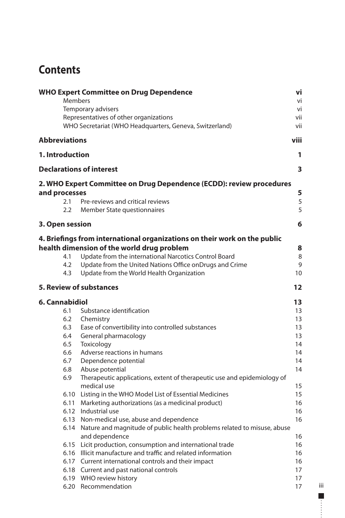# **Contents**

|                      | <b>WHO Expert Committee on Drug Dependence</b><br>Members<br>Temporary advisers            | vi<br>vi<br>vi |
|----------------------|--------------------------------------------------------------------------------------------|----------------|
|                      | Representatives of other organizations                                                     | vii            |
|                      | WHO Secretariat (WHO Headquarters, Geneva, Switzerland)                                    | vii            |
| <b>Abbreviations</b> |                                                                                            | viii           |
| 1. Introduction      |                                                                                            | 1              |
|                      | <b>Declarations of interest</b>                                                            | 3              |
|                      | 2. WHO Expert Committee on Drug Dependence (ECDD): review procedures                       |                |
| and processes        |                                                                                            | 5              |
| 2.1                  | Pre-reviews and critical reviews                                                           | 5              |
| $2.2^{\circ}$        | Member State questionnaires                                                                | 5              |
| 3. Open session      |                                                                                            | 6              |
|                      | 4. Briefings from international organizations on their work on the public                  |                |
|                      | health dimension of the world drug problem                                                 | 8              |
| 4.1                  | Update from the international Narcotics Control Board                                      | 8              |
| 4.2                  | Update from the United Nations Office onDrugs and Crime                                    | 9              |
| 4.3                  | Update from the World Health Organization                                                  | 10             |
|                      | <b>5. Review of substances</b>                                                             | 12             |
| 6. Cannabidiol       |                                                                                            | 13             |
| 6.1                  | Substance identification                                                                   | 13             |
| 6.2                  | Chemistry                                                                                  | 13             |
| 6.3                  | Ease of convertibility into controlled substances                                          | 13             |
| 6.4                  | General pharmacology                                                                       | 13             |
| 6.5                  | Toxicology                                                                                 | 14             |
| 6.6                  | Adverse reactions in humans                                                                | 14             |
| 6.7                  | Dependence potential                                                                       | 14<br>14       |
| 6.8<br>6.9           | Abuse potential<br>Therapeutic applications, extent of therapeutic use and epidemiology of |                |
|                      | medical use                                                                                | 15             |
|                      | 6.10 Listing in the WHO Model List of Essential Medicines                                  | 15             |
| 6.11                 | Marketing authorizations (as a medicinal product)                                          | 16             |
|                      | 6.12 Industrial use                                                                        | 16             |
|                      | 6.13 Non-medical use, abuse and dependence                                                 | 16             |
|                      | 6.14 Nature and magnitude of public health problems related to misuse, abuse               |                |
|                      | and dependence                                                                             | 16             |
|                      | 6.15 Licit production, consumption and international trade                                 | 16             |
| 6.16                 | Illicit manufacture and traffic and related information                                    | 16             |
|                      | 6.17 Current international controls and their impact                                       | 16             |
|                      | 6.18 Current and past national controls                                                    | 17             |
|                      | 6.19 WHO review history                                                                    | 17             |
|                      | 6.20 Recommendation                                                                        | 17             |

iii  $\overline{\phantom{a}}$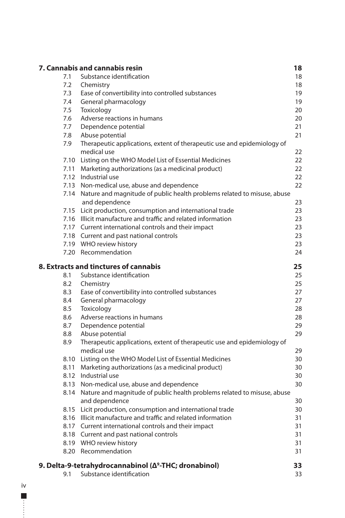|      | 7. Cannabis and cannabis resin                                          | 18 |
|------|-------------------------------------------------------------------------|----|
| 7.1  | Substance identification                                                | 18 |
| 7.2  | Chemistry                                                               | 18 |
| 7.3  | Ease of convertibility into controlled substances                       | 19 |
| 7.4  | General pharmacology                                                    | 19 |
| 7.5  | Toxicology                                                              | 20 |
| 7.6  | Adverse reactions in humans                                             | 20 |
| 7.7  | Dependence potential                                                    | 21 |
| 7.8  | Abuse potential                                                         | 21 |
| 7.9  | Therapeutic applications, extent of therapeutic use and epidemiology of |    |
|      | medical use                                                             | 22 |
|      | 7.10 Listing on the WHO Model List of Essential Medicines               | 22 |
| 7.11 | Marketing authorizations (as a medicinal product)                       | 22 |
|      | 7.12 Industrial use                                                     | 22 |
|      | 7.13 Non-medical use, abuse and dependence                              | 22 |
| 7.14 | Nature and magnitude of public health problems related to misuse, abuse |    |
|      | and dependence                                                          | 23 |
|      | 7.15 Licit production, consumption and international trade              | 23 |
|      | 7.16 Illicit manufacture and traffic and related information            | 23 |
|      | 7.17 Current international controls and their impact                    | 23 |
|      | 7.18 Current and past national controls                                 | 23 |
|      | 7.19 WHO review history                                                 | 23 |
|      | 7.20 Recommendation                                                     | 24 |
|      | 8. Extracts and tinctures of cannabis                                   | 25 |
| 8.1  | Substance identification                                                | 25 |
| 8.2  | Chemistry                                                               | 25 |
| 8.3  | Ease of convertibility into controlled substances                       | 27 |
| 8.4  | General pharmacology                                                    | 27 |
| 8.5  | Toxicology                                                              | 28 |
| 8.6  | Adverse reactions in humans                                             | 28 |
| 8.7  | Dependence potential                                                    | 29 |
| 8.8  | Abuse potential                                                         | 29 |
| 8.9  | Therapeutic applications, extent of therapeutic use and epidemiology of |    |
|      | medical use                                                             | 29 |
|      | 8.10 Listing on the WHO Model List of Essential Medicines               | 30 |
| 8.11 | Marketing authorizations (as a medicinal product)                       | 30 |
|      | 8.12 Industrial use                                                     | 30 |
|      | 8.13 Non-medical use, abuse and dependence                              | 30 |
| 8.14 | Nature and magnitude of public health problems related to misuse, abuse |    |
|      | and dependence                                                          | 30 |
|      | 8.15 Licit production, consumption and international trade              | 30 |
| 8.16 | Illicit manufacture and traffic and related information                 | 31 |
|      | 8.17 Current international controls and their impact                    | 31 |
|      | 8.18 Current and past national controls                                 | 31 |
|      | 8.19 WHO review history                                                 | 31 |
|      | 8.20 Recommendation                                                     | 31 |
|      | 9. Delta-9-tetrahydrocannabinol (Δ <sup>9</sup> -THC; dronabinol)       | 33 |
| 9.1  | Substance identification                                                | 33 |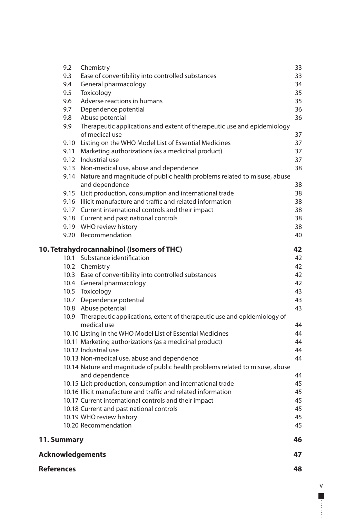|             | <b>References</b><br>48 |                                                                                             |    |
|-------------|-------------------------|---------------------------------------------------------------------------------------------|----|
|             |                         | <b>Acknowledgements</b>                                                                     | 47 |
| 11. Summary |                         |                                                                                             | 46 |
|             |                         | 10.20 Recommendation                                                                        | 45 |
|             |                         | 10.19 WHO review history                                                                    | 45 |
|             |                         | 10.18 Current and past national controls                                                    | 45 |
|             |                         | 10.17 Current international controls and their impact                                       | 45 |
|             |                         | 10.16 Illicit manufacture and traffic and related information                               | 45 |
|             |                         | 10.15 Licit production, consumption and international trade                                 | 45 |
|             |                         | and dependence                                                                              | 44 |
|             |                         | 10.14 Nature and magnitude of public health problems related to misuse, abuse               |    |
|             |                         | 10.13 Non-medical use, abuse and dependence                                                 | 44 |
|             |                         | 10.12 Industrial use                                                                        | 44 |
|             |                         | 10.11 Marketing authorizations (as a medicinal product)                                     | 44 |
|             |                         | 10.10 Listing in the WHO Model List of Essential Medicines                                  | 44 |
|             |                         | 10.9 Therapeutic applications, extent of therapeutic use and epidemiology of<br>medical use | 44 |
|             |                         | 10.8 Abuse potential                                                                        |    |
|             |                         | 10.7 Dependence potential                                                                   | 43 |
|             |                         |                                                                                             | 43 |
|             |                         | 10.5 Toxicology                                                                             | 43 |
|             |                         | 10.3 Ease of convertibility into controlled substances<br>10.4 General pharmacology         | 42 |
|             |                         | 10.2 Chemistry                                                                              | 42 |
|             |                         |                                                                                             | 42 |
|             |                         | 10.1 Substance identification                                                               | 42 |
|             |                         | 10. Tetrahydrocannabinol (Isomers of THC)                                                   | 42 |
|             |                         | 9.20 Recommendation                                                                         | 40 |
|             |                         | 9.19 WHO review history                                                                     | 38 |
|             |                         | 9.18 Current and past national controls                                                     | 38 |
|             |                         | 9.17 Current international controls and their impact                                        | 38 |
|             |                         | 9.16 Illicit manufacture and traffic and related information                                | 38 |
|             |                         | 9.15 Licit production, consumption and international trade                                  | 38 |
|             |                         | and dependence                                                                              | 38 |
|             | 9.14                    | Nature and magnitude of public health problems related to misuse, abuse                     |    |
|             | 9.13                    | Non-medical use, abuse and dependence                                                       | 38 |
|             |                         | 9.12 Industrial use                                                                         | 37 |
|             |                         | 9.11 Marketing authorizations (as a medicinal product)                                      | 37 |
|             |                         | 9.10 Listing on the WHO Model List of Essential Medicines                                   | 37 |
|             |                         | of medical use                                                                              | 37 |
|             | 9.9                     | Therapeutic applications and extent of therapeutic use and epidemiology                     |    |
|             | 9.8                     | Abuse potential                                                                             | 36 |
|             | 9.7                     | Dependence potential                                                                        | 36 |
|             | 9.6                     | Adverse reactions in humans                                                                 | 35 |
|             | 9.5                     | Toxicology                                                                                  | 35 |
|             | 9.4                     | General pharmacology                                                                        | 34 |
|             | 9.3                     | Ease of convertibility into controlled substances                                           | 33 |
|             | 9.2                     | Chemistry                                                                                   | 33 |

v Ļ

 $\begin{array}{c} \vdots \\ \vdots \\ \vdots \end{array}$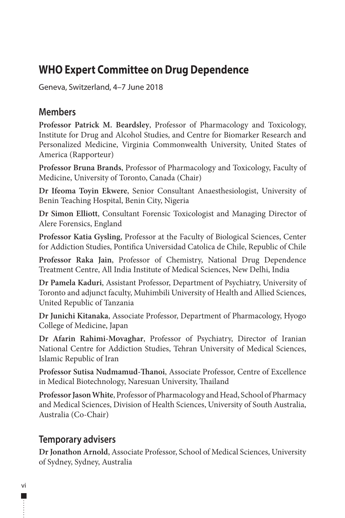# <span id="page-7-0"></span>**WHO Expert Committee on Drug Dependence**

Geneva, Switzerland, 4–7 June 2018

#### **Members**

**Professor Patrick M. Beardsley**, Professor of Pharmacology and Toxicology, Institute for Drug and Alcohol Studies, and Centre for Biomarker Research and Personalized Medicine, Virginia Commonwealth University, United States of America (Rapporteur)

**Professor Bruna Brands**, Professor of Pharmacology and Toxicology, Faculty of Medicine, University of Toronto, Canada (Chair)

**Dr Ifeoma Toyin Ekwere**, Senior Consultant Anaesthesiologist, University of Benin Teaching Hospital, Benin City, Nigeria

**Dr Simon Elliott**, Consultant Forensic Toxicologist and Managing Director of Alere Forensics, England

**Professor Katia Gysling**, Professor at the Faculty of Biological Sciences, Center for Addiction Studies, Pontifica Universidad Catolica de Chile, Republic of Chile

**Professor Raka Jain**, Professor of Chemistry, National Drug Dependence Treatment Centre, All India Institute of Medical Sciences, New Delhi, India

**Dr Pamela Kaduri**, Assistant Professor, Department of Psychiatry, University of Toronto and adjunct faculty, Muhimbili University of Health and Allied Sciences, United Republic of Tanzania

**Dr Junichi Kitanaka**, Associate Professor, Department of Pharmacology, Hyogo College of Medicine, Japan

**Dr Afarin Rahimi-Movaghar**, Professor of Psychiatry, Director of Iranian National Centre for Addiction Studies, Tehran University of Medical Sciences, Islamic Republic of Iran

**Professor Sutisa Nudmamud-Thanoi**, Associate Professor, Centre of Excellence in Medical Biotechnology, Naresuan University, Thailand

**Professor Jason White**, Professor of Pharmacology and Head, School of Pharmacy and Medical Sciences, Division of Health Sciences, University of South Australia, Australia (Co-Chair)

# **Temporary advisers**

**Dr Jonathon Arnold**, Associate Professor, School of Medical Sciences, University of Sydney, Sydney, Australia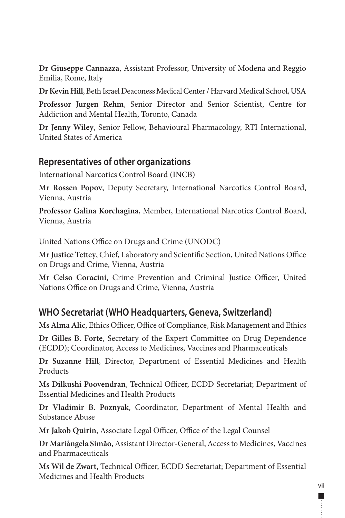<span id="page-8-0"></span>**Dr Giuseppe Cannazza**, Assistant Professor, University of Modena and Reggio Emilia, Rome, Italy

**Dr Kevin Hill**, Beth Israel Deaconess Medical Center / Harvard Medical School, USA

**Professor Jurgen Rehm**, Senior Director and Senior Scientist, Centre for Addiction and Mental Health, Toronto, Canada

**Dr Jenny Wiley**, Senior Fellow, Behavioural Pharmacology, RTI International, United States of America

# **Representatives of other organizations**

International Narcotics Control Board (INCB)

**Mr Rossen Popov**, Deputy Secretary, International Narcotics Control Board, Vienna, Austria

**Professor Galina Korchagina**, Member, International Narcotics Control Board, Vienna, Austria

United Nations Office on Drugs and Crime (UNODC)

**Mr Justice Tettey**, Chief, Laboratory and Scientific Section, United Nations Office on Drugs and Crime, Vienna, Austria

**Mr Celso Coracini**, Crime Prevention and Criminal Justice Officer, United Nations Office on Drugs and Crime, Vienna, Austria

# **WHO Secretariat (WHO Headquarters, Geneva, Switzerland)**

**Ms Alma Alic**, Ethics Officer, Office of Compliance, Risk Management and Ethics

**Dr Gilles B. Forte**, Secretary of the Expert Committee on Drug Dependence (ECDD); Coordinator, Access to Medicines, Vaccines and Pharmaceuticals

**Dr Suzanne Hill**, Director, Department of Essential Medicines and Health Products

**Ms Dilkushi Poovendran**, Technical Officer, ECDD Secretariat; Department of Essential Medicines and Health Products

**Dr Vladimir B. Poznyak**, Coordinator, Department of Mental Health and Substance Abuse

**Mr Jakob Quirin**, Associate Legal Officer, Office of the Legal Counsel

**Dr Mariângela Simão**, Assistant Director-General, Access to Medicines, Vaccines and Pharmaceuticals

**Ms Wil de Zwart**, Technical Officer, ECDD Secretariat; Department of Essential Medicines and Health Products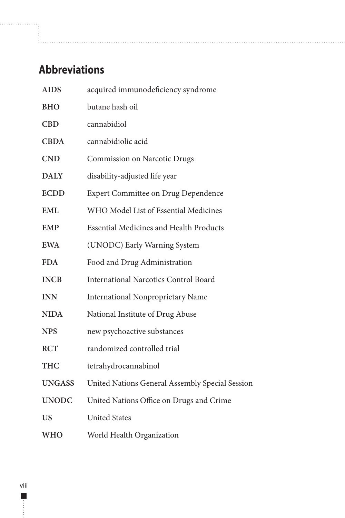# **Abbreviations**

<span id="page-9-0"></span>. . . . . . . . .

| <b>AIDS</b>   | acquired immunodeficiency syndrome              |
|---------------|-------------------------------------------------|
| <b>BHO</b>    | butane hash oil                                 |
| <b>CBD</b>    | cannabidiol                                     |
| <b>CBDA</b>   | cannabidiolic acid                              |
| <b>CND</b>    | Commission on Narcotic Drugs                    |
| <b>DALY</b>   | disability-adjusted life year                   |
| <b>ECDD</b>   | <b>Expert Committee on Drug Dependence</b>      |
| <b>EML</b>    | WHO Model List of Essential Medicines           |
| <b>EMP</b>    | <b>Essential Medicines and Health Products</b>  |
| <b>EWA</b>    | (UNODC) Early Warning System                    |
| <b>FDA</b>    | Food and Drug Administration                    |
| <b>INCB</b>   | <b>International Narcotics Control Board</b>    |
| <b>INN</b>    | <b>International Nonproprietary Name</b>        |
| <b>NIDA</b>   | National Institute of Drug Abuse                |
| <b>NPS</b>    | new psychoactive substances                     |
| <b>RCT</b>    | randomized controlled trial                     |
| <b>THC</b>    | tetrahydrocannabinol                            |
| <b>UNGASS</b> | United Nations General Assembly Special Session |
| <b>UNODC</b>  | United Nations Office on Drugs and Crime        |
| <b>US</b>     | <b>United States</b>                            |
| <b>WHO</b>    | World Health Organization                       |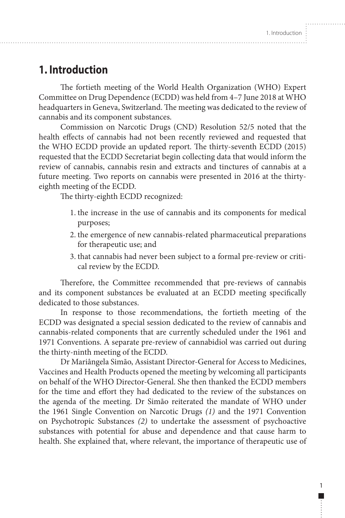# <span id="page-10-0"></span>**1. Introduction**

The fortieth meeting of the World Health Organization (WHO) Expert Committee on Drug Dependence (ECDD) was held from 4–7 June 2018 at WHO headquarters in Geneva, Switzerland. The meeting was dedicated to the review of cannabis and its component substances.

Commission on Narcotic Drugs (CND) Resolution 52/5 noted that the health effects of cannabis had not been recently reviewed and requested that the WHO ECDD provide an updated report. The thirty-seventh ECDD (2015) requested that the ECDD Secretariat begin collecting data that would inform the review of cannabis, cannabis resin and extracts and tinctures of cannabis at a future meeting. Two reports on cannabis were presented in 2016 at the thirtyeighth meeting of the ECDD.

The thirty-eighth ECDD recognized:

- 1. the increase in the use of cannabis and its components for medical purposes;
- 2. the emergence of new cannabis-related pharmaceutical preparations for therapeutic use; and
- 3. that cannabis had never been subject to a formal pre-review or critical review by the ECDD.

Therefore, the Committee recommended that pre-reviews of cannabis and its component substances be evaluated at an ECDD meeting specifically dedicated to those substances.

In response to those recommendations, the fortieth meeting of the ECDD was designated a special session dedicated to the review of cannabis and cannabis-related components that are currently scheduled under the 1961 and 1971 Conventions. A separate pre-review of cannabidiol was carried out during the thirty-ninth meeting of the ECDD.

Dr Mariângela Simão, Assistant Director-General for Access to Medicines, Vaccines and Health Products opened the meeting by welcoming all participants on behalf of the WHO Director-General. She then thanked the ECDD members for the time and effort they had dedicated to the review of the substances on the agenda of the meeting. Dr Simão reiterated the mandate of WHO under the 1961 Single Convention on Narcotic Drugs *(1)* and the 1971 Convention on Psychotropic Substances *(2)* to undertake the assessment of psychoactive substances with potential for abuse and dependence and that cause harm to health. She explained that, where relevant, the importance of therapeutic use of

> 1 p.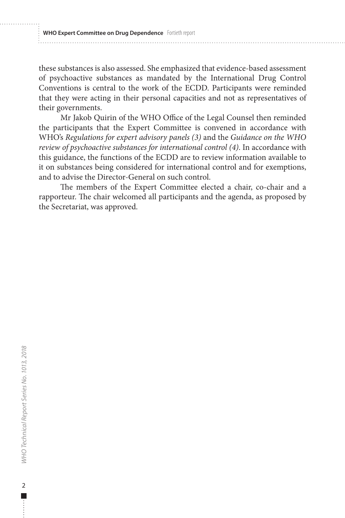these substances is also assessed. She emphasized that evidence-based assessment of psychoactive substances as mandated by the International Drug Control Conventions is central to the work of the ECDD. Participants were reminded that they were acting in their personal capacities and not as representatives of their governments.

Mr Jakob Quirin of the WHO Office of the Legal Counsel then reminded the participants that the Expert Committee is convened in accordance with WHO's *Regulations for expert advisory panels (3)* and the *Guidance on the WHO review of psychoactive substances for international control (4)*. In accordance with this guidance, the functions of the ECDD are to review information available to it on substances being considered for international control and for exemptions, and to advise the Director-General on such control.

The members of the Expert Committee elected a chair, co-chair and a rapporteur. The chair welcomed all participants and the agenda, as proposed by the Secretariat, was approved.

 $\overline{2}$ Г.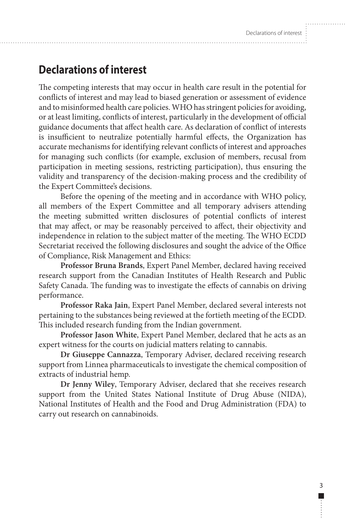# <span id="page-12-0"></span>**Declarations of interest**

The competing interests that may occur in health care result in the potential for conflicts of interest and may lead to biased generation or assessment of evidence and to misinformed health care policies. WHO has stringent policies for avoiding, or at least limiting, conflicts of interest, particularly in the development of official guidance documents that affect health care. As declaration of conflict of interests is insufficient to neutralize potentially harmful effects, the Organization has accurate mechanisms for identifying relevant conflicts of interest and approaches for managing such conflicts (for example, exclusion of members, recusal from participation in meeting sessions, restricting participation), thus ensuring the validity and transparency of the decision-making process and the credibility of the Expert Committee's decisions.

Before the opening of the meeting and in accordance with WHO policy, all members of the Expert Committee and all temporary advisers attending the meeting submitted written disclosures of potential conflicts of interest that may affect, or may be reasonably perceived to affect, their objectivity and independence in relation to the subject matter of the meeting. The WHO ECDD Secretariat received the following disclosures and sought the advice of the Office of Compliance, Risk Management and Ethics:

**Professor Bruna Brands**, Expert Panel Member, declared having received research support from the Canadian Institutes of Health Research and Public Safety Canada. The funding was to investigate the effects of cannabis on driving performance.

**Professor Raka Jain**, Expert Panel Member, declared several interests not pertaining to the substances being reviewed at the fortieth meeting of the ECDD. This included research funding from the Indian government.

**Professor Jason White**, Expert Panel Member, declared that he acts as an expert witness for the courts on judicial matters relating to cannabis.

**Dr Giuseppe Cannazza**, Temporary Adviser, declared receiving research support from Linnea pharmaceuticals to investigate the chemical composition of extracts of industrial hemp.

**Dr Jenny Wiley**, Temporary Adviser, declared that she receives research support from the United States National Institute of Drug Abuse (NIDA), National Institutes of Health and the Food and Drug Administration (FDA) to carry out research on cannabinoids.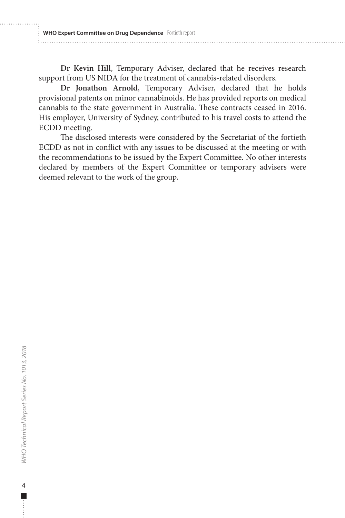**WHO Expert Committee on Drug Dependence** Fortieth report

**Dr Kevin Hill**, Temporary Adviser, declared that he receives research support from US NIDA for the treatment of cannabis-related disorders.

**Dr Jonathon Arnold**, Temporary Adviser, declared that he holds provisional patents on minor cannabinoids. He has provided reports on medical cannabis to the state government in Australia. These contracts ceased in 2016. His employer, University of Sydney, contributed to his travel costs to attend the ECDD meeting.

The disclosed interests were considered by the Secretariat of the fortieth ECDD as not in conflict with any issues to be discussed at the meeting or with the recommendations to be issued by the Expert Committee. No other interests declared by members of the Expert Committee or temporary advisers were deemed relevant to the work of the group.

Г.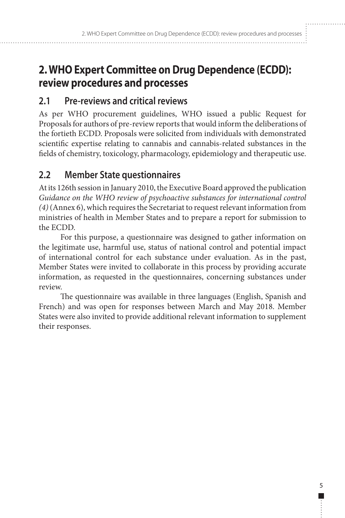# <span id="page-14-0"></span>**2. WHO Expert Committee on Drug Dependence (ECDD): review procedures and processes**

# **2.1 Pre-reviews and critical reviews**

As per WHO procurement guidelines, WHO issued a public Request for Proposals for authors of pre-review reports that would inform the deliberations of the fortieth ECDD. Proposals were solicited from individuals with demonstrated scientific expertise relating to cannabis and cannabis-related substances in the fields of chemistry, toxicology, pharmacology, epidemiology and therapeutic use.

# **2.2 Member State questionnaires**

At its 126th session in January 2010, the Executive Board approved the publication *Guidance on the WHO review of psychoactive substances for international control (4)* (Annex 6), which requires the Secretariat to request relevant information from ministries of health in Member States and to prepare a report for submission to the ECDD.

For this purpose, a questionnaire was designed to gather information on the legitimate use, harmful use, status of national control and potential impact of international control for each substance under evaluation. As in the past, Member States were invited to collaborate in this process by providing accurate information, as requested in the questionnaires, concerning substances under review.

The questionnaire was available in three languages (English, Spanish and French) and was open for responses between March and May 2018. Member States were also invited to provide additional relevant information to supplement their responses.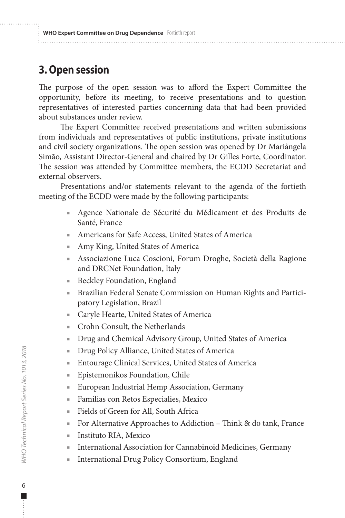# <span id="page-15-0"></span>**3. Open session**

The purpose of the open session was to afford the Expert Committee the opportunity, before its meeting, to receive presentations and to question representatives of interested parties concerning data that had been provided about substances under review.

The Expert Committee received presentations and written submissions from individuals and representatives of public institutions, private institutions and civil society organizations. The open session was opened by Dr Mariângela Simão, Assistant Director-General and chaired by Dr Gilles Forte, Coordinator. The session was attended by Committee members, the ECDD Secretariat and external observers.

Presentations and/or statements relevant to the agenda of the fortieth meeting of the ECDD were made by the following participants:

- Agence Nationale de Sécurité du Médicament et des Produits de Santé, France
- Americans for Safe Access, United States of America
- Amy King, United States of America
- Associazione Luca Coscioni, Forum Droghe, Società della Ragione and DRCNet Foundation, Italy
- Beckley Foundation, England
- Brazilian Federal Senate Commission on Human Rights and Participatory Legislation, Brazil
- Caryle Hearte, United States of America
- Crohn Consult, the Netherlands
- Drug and Chemical Advisory Group, United States of America
- Drug Policy Alliance, United States of America
- Entourage Clinical Services, United States of America
- Epistemonikos Foundation, Chile
- European Industrial Hemp Association, Germany
- Familias con Retos Especialies, Mexico
- Fields of Green for All, South Africa
- For Alternative Approaches to Addiction Think & do tank, France
- Instituto RIA, Mexico
- International Association for Cannabinoid Medicines, Germany
- International Drug Policy Consortium, England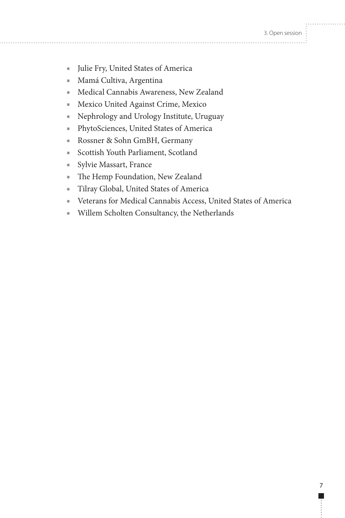■ Julie Fry, United States of America

- Mamá Cultiva, Argentina
- Medical Cannabis Awareness, New Zealand
- Mexico United Against Crime, Mexico
- Nephrology and Urology Institute, Uruguay
- PhytoSciences, United States of America
- Rossner & Sohn GmBH, Germany
- Scottish Youth Parliament, Scotland
- Sylvie Massart, France
- The Hemp Foundation, New Zealand
- Tilray Global, United States of America
- Veterans for Medical Cannabis Access, United States of America
- Willem Scholten Consultancy, the Netherlands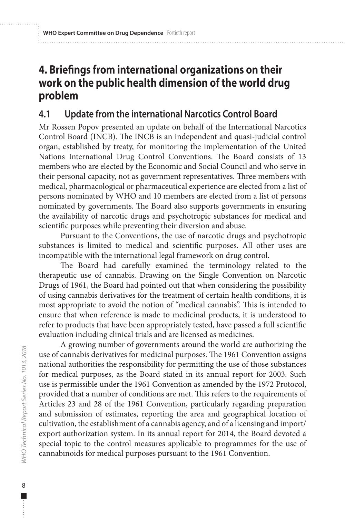# <span id="page-17-0"></span>**4. Briefings from international organizations on their work on the public health dimension of the world drug problem**

# **4.1 Update from the international Narcotics Control Board**

Mr Rossen Popov presented an update on behalf of the International Narcotics Control Board (INCB). The INCB is an independent and quasi-judicial control organ, established by treaty, for monitoring the implementation of the United Nations International Drug Control Conventions. The Board consists of 13 members who are elected by the Economic and Social Council and who serve in their personal capacity, not as government representatives. Three members with medical, pharmacological or pharmaceutical experience are elected from a list of persons nominated by WHO and 10 members are elected from a list of persons nominated by governments. The Board also supports governments in ensuring the availability of narcotic drugs and psychotropic substances for medical and scientific purposes while preventing their diversion and abuse.

Pursuant to the Conventions, the use of narcotic drugs and psychotropic substances is limited to medical and scientific purposes. All other uses are incompatible with the international legal framework on drug control.

The Board had carefully examined the terminology related to the therapeutic use of cannabis. Drawing on the Single Convention on Narcotic Drugs of 1961, the Board had pointed out that when considering the possibility of using cannabis derivatives for the treatment of certain health conditions, it is most appropriate to avoid the notion of "medical cannabis". This is intended to ensure that when reference is made to medicinal products, it is understood to refer to products that have been appropriately tested, have passed a full scientific evaluation including clinical trials and are licensed as medicines.

A growing number of governments around the world are authorizing the use of cannabis derivatives for medicinal purposes. The 1961 Convention assigns national authorities the responsibility for permitting the use of those substances for medical purposes, as the Board stated in its annual report for 2003. Such use is permissible under the 1961 Convention as amended by the 1972 Protocol, provided that a number of conditions are met. This refers to the requirements of Articles 23 and 28 of the 1961 Convention, particularly regarding preparation and submission of estimates, reporting the area and geographical location of cultivation, the establishment of a cannabis agency, and of a licensing and import/ export authorization system. In its annual report for 2014, the Board devoted a special topic to the control measures applicable to programmes for the use of cannabinoids for medical purposes pursuant to the 1961 Convention.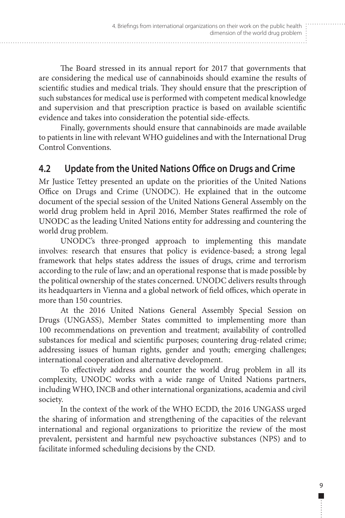<span id="page-18-0"></span>The Board stressed in its annual report for 2017 that governments that are considering the medical use of cannabinoids should examine the results of scientific studies and medical trials. They should ensure that the prescription of such substances for medical use is performed with competent medical knowledge and supervision and that prescription practice is based on available scientific evidence and takes into consideration the potential side-effects.

Finally, governments should ensure that cannabinoids are made available to patients in line with relevant WHO guidelines and with the International Drug Control Conventions.

# **4.2 Update from the United Nations Office on Drugs and Crime**

Mr Justice Tettey presented an update on the priorities of the United Nations Office on Drugs and Crime (UNODC). He explained that in the outcome document of the special session of the United Nations General Assembly on the world drug problem held in April 2016, Member States reaffirmed the role of UNODC as the leading United Nations entity for addressing and countering the world drug problem.

UNODC's three-pronged approach to implementing this mandate involves: research that ensures that policy is evidence-based; a strong legal framework that helps states address the issues of drugs, crime and terrorism according to the rule of law; and an operational response that is made possible by the political ownership of the states concerned. UNODC delivers results through its headquarters in Vienna and a global network of field offices, which operate in more than 150 countries.

At the 2016 United Nations General Assembly Special Session on Drugs (UNGASS), Member States committed to implementing more than 100 recommendations on prevention and treatment; availability of controlled substances for medical and scientific purposes; countering drug-related crime; addressing issues of human rights, gender and youth; emerging challenges; international cooperation and alternative development.

To effectively address and counter the world drug problem in all its complexity, UNODC works with a wide range of United Nations partners, including WHO, INCB and other international organizations, academia and civil society.

In the context of the work of the WHO ECDD, the 2016 UNGASS urged the sharing of information and strengthening of the capacities of the relevant international and regional organizations to prioritize the review of the most prevalent, persistent and harmful new psychoactive substances (NPS) and to facilitate informed scheduling decisions by the CND.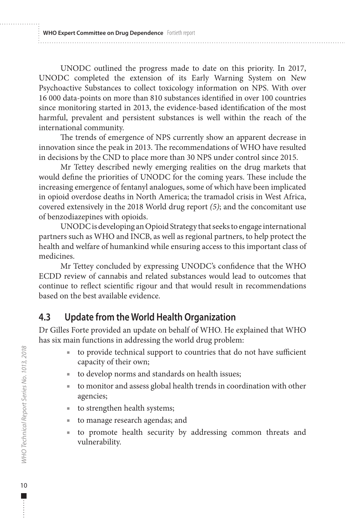<span id="page-19-0"></span>UNODC outlined the progress made to date on this priority. In 2017, UNODC completed the extension of its Early Warning System on New Psychoactive Substances to collect toxicology information on NPS. With over 16 000 data-points on more than 810 substances identified in over 100 countries since monitoring started in 2013, the evidence-based identification of the most harmful, prevalent and persistent substances is well within the reach of the international community.

The trends of emergence of NPS currently show an apparent decrease in innovation since the peak in 2013. The recommendations of WHO have resulted in decisions by the CND to place more than 30 NPS under control since 2015.

Mr Tettey described newly emerging realities on the drug markets that would define the priorities of UNODC for the coming years. These include the increasing emergence of fentanyl analogues, some of which have been implicated in opioid overdose deaths in North America; the tramadol crisis in West Africa, covered extensively in the 2018 World drug report *(5)*; and the concomitant use of benzodiazepines with opioids.

UNODC is developing an Opioid Strategy that seeks to engage international partners such as WHO and INCB, as well as regional partners, to help protect the health and welfare of humankind while ensuring access to this important class of medicines.

Mr Tettey concluded by expressing UNODC's confidence that the WHO ECDD review of cannabis and related substances would lead to outcomes that continue to reflect scientific rigour and that would result in recommendations based on the best available evidence.

# **4.3 Update from the World Health Organization**

Dr Gilles Forte provided an update on behalf of WHO. He explained that WHO has six main functions in addressing the world drug problem:

- to provide technical support to countries that do not have sufficient capacity of their own;
- to develop norms and standards on health issues;
- to monitor and assess global health trends in coordination with other agencies;
- to strengthen health systems;
- to manage research agendas; and
- to promote health security by addressing common threats and vulnerability.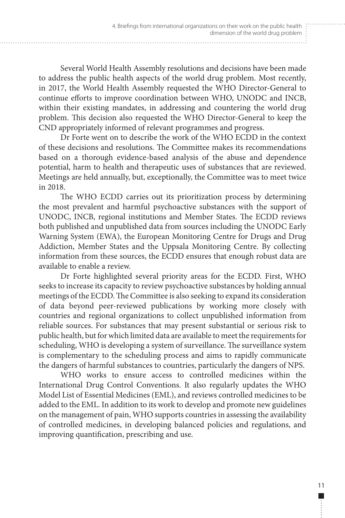Several World Health Assembly resolutions and decisions have been made to address the public health aspects of the world drug problem. Most recently, in 2017, the World Health Assembly requested the WHO Director-General to continue efforts to improve coordination between WHO, UNODC and INCB, within their existing mandates, in addressing and countering the world drug problem. This decision also requested the WHO Director-General to keep the CND appropriately informed of relevant programmes and progress.

Dr Forte went on to describe the work of the WHO ECDD in the context of these decisions and resolutions. The Committee makes its recommendations based on a thorough evidence-based analysis of the abuse and dependence potential, harm to health and therapeutic uses of substances that are reviewed. Meetings are held annually, but, exceptionally, the Committee was to meet twice in 2018.

The WHO ECDD carries out its prioritization process by determining the most prevalent and harmful psychoactive substances with the support of UNODC, INCB, regional institutions and Member States. The ECDD reviews both published and unpublished data from sources including the UNODC Early Warning System (EWA), the European Monitoring Centre for Drugs and Drug Addiction, Member States and the Uppsala Monitoring Centre. By collecting information from these sources, the ECDD ensures that enough robust data are available to enable a review.

Dr Forte highlighted several priority areas for the ECDD. First, WHO seeks to increase its capacity to review psychoactive substances by holding annual meetings of the ECDD. The Committee is also seeking to expand its consideration of data beyond peer-reviewed publications by working more closely with countries and regional organizations to collect unpublished information from reliable sources. For substances that may present substantial or serious risk to public health, but for which limited data are available to meet the requirements for scheduling, WHO is developing a system of surveillance. The surveillance system is complementary to the scheduling process and aims to rapidly communicate the dangers of harmful substances to countries, particularly the dangers of NPS.

WHO works to ensure access to controlled medicines within the International Drug Control Conventions. It also regularly updates the WHO Model List of Essential Medicines (EML), and reviews controlled medicines to be added to the EML. In addition to its work to develop and promote new guidelines on the management of pain, WHO supports countries in assessing the availability of controlled medicines, in developing balanced policies and regulations, and improving quantification, prescribing and use.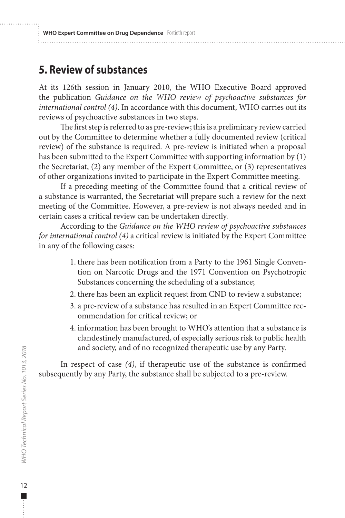# <span id="page-21-0"></span>**5. Review of substances**

At its 126th session in January 2010, the WHO Executive Board approved the publication *Guidance on the WHO review of psychoactive substances for international control (4)*. In accordance with this document, WHO carries out its reviews of psychoactive substances in two steps.

The first step is referred to as pre-review; this is a preliminary review carried out by the Committee to determine whether a fully documented review (critical review) of the substance is required. A pre-review is initiated when a proposal has been submitted to the Expert Committee with supporting information by (1) the Secretariat, (2) any member of the Expert Committee, or (3) representatives of other organizations invited to participate in the Expert Committee meeting.

If a preceding meeting of the Committee found that a critical review of a substance is warranted, the Secretariat will prepare such a review for the next meeting of the Committee. However, a pre-review is not always needed and in certain cases a critical review can be undertaken directly.

According to the *Guidance on the WHO review of psychoactive substances for international control (4)* a critical review is initiated by the Expert Committee in any of the following cases:

- 1. there has been notification from a Party to the 1961 Single Convention on Narcotic Drugs and the 1971 Convention on Psychotropic Substances concerning the scheduling of a substance;
- 2. there has been an explicit request from CND to review a substance;
- 3. a pre-review of a substance has resulted in an Expert Committee recommendation for critical review; or
- 4. information has been brought to WHO's attention that a substance is clandestinely manufactured, of especially serious risk to public health and society, and of no recognized therapeutic use by any Party.

In respect of case *(4)*, if therapeutic use of the substance is confirmed subsequently by any Party, the substance shall be subjected to a pre-review.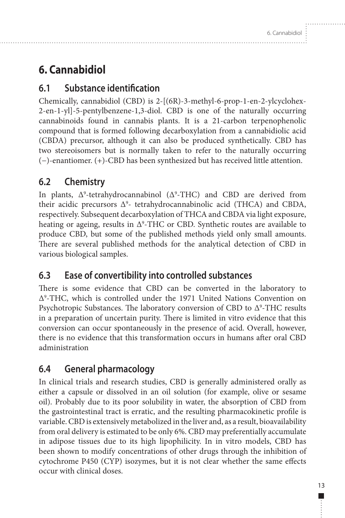# <span id="page-22-0"></span>**6. Cannabidiol**

# **6.1 Substance identification**

Chemically, cannabidiol (CBD) is 2-[(6R)-3-methyl-6-prop-1-en-2-ylcyclohex-2-en-1-yl]-5-pentylbenzene-1,3-diol. CBD is one of the naturally occurring cannabinoids found in cannabis plants. It is a 21-carbon terpenophenolic compound that is formed following decarboxylation from a cannabidiolic acid (CBDA) precursor, although it can also be produced synthetically. CBD has two stereoisomers but is normally taken to refer to the naturally occurring (−)-enantiomer. (+)-CBD has been synthesized but has received little attention.

# **6.2 Chemistry**

In plants,  $\Delta^9$ -tetrahydrocannabinol ( $\Delta^9$ -THC) and CBD are derived from their acidic precursors  $\Delta^9$ - tetrahydrocannabinolic acid (THCA) and CBDA, respectively. Subsequent decarboxylation of THCA and CBDA via light exposure, heating or ageing, results in  $\Delta^9\text{-THC}$  or CBD. Synthetic routes are available to produce CBD, but some of the published methods yield only small amounts. There are several published methods for the analytical detection of CBD in various biological samples.

# **6.3 Ease of convertibility into controlled substances**

There is some evidence that CBD can be converted in the laboratory to Δ9 -THC, which is controlled under the 1971 United Nations Convention on Psychotropic Substances. The laboratory conversion of CBD to  $\Delta^9$ -THC results in a preparation of uncertain purity. There is limited in vitro evidence that this conversion can occur spontaneously in the presence of acid. Overall, however, there is no evidence that this transformation occurs in humans after oral CBD administration

# **6.4 General pharmacology**

In clinical trials and research studies, CBD is generally administered orally as either a capsule or dissolved in an oil solution (for example, olive or sesame oil). Probably due to its poor solubility in water, the absorption of CBD from the gastrointestinal tract is erratic, and the resulting pharmacokinetic profile is variable. CBD is extensively metabolized in the liver and, as a result, bioavailability from oral delivery is estimated to be only 6%. CBD may preferentially accumulate in adipose tissues due to its high lipophilicity. In in vitro models, CBD has been shown to modify concentrations of other drugs through the inhibition of cytochrome P450 (CYP) isozymes, but it is not clear whether the same effects occur with clinical doses.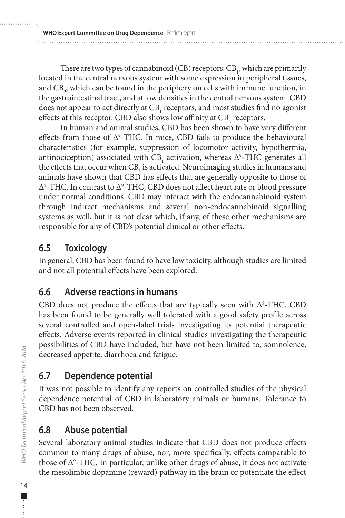<span id="page-23-0"></span>There are two types of cannabinoid (CB) receptors:  $CB<sub>1</sub>$ , which are primarily located in the central nervous system with some expression in peripheral tissues, and  $CB_2$ , which can be found in the periphery on cells with immune function, in the gastrointestinal tract, and at low densities in the central nervous system. CBD does not appear to act directly at  $CB_1$  receptors, and most studies find no agonist effects at this receptor. CBD also shows low affinity at  $CB_2$  receptors.

In human and animal studies, CBD has been shown to have very different effects from those of  $\Delta^9$ -THC. In mice, CBD fails to produce the behavioural characteristics (for example, suppression of locomotor activity, hypothermia, antinociception) associated with  $CB_1$  activation, whereas  $\Delta^9$ -THC generates all the effects that occur when  $CB_1$  is activated. Neuroimaging studies in humans and animals have shown that CBD has effects that are generally opposite to those of Δ9 -THC. In contrast to Δ9 -THC, CBD does not affect heart rate or blood pressure under normal conditions. CBD may interact with the endocannabinoid system through indirect mechanisms and several non-endocannabinoid signalling systems as well, but it is not clear which, if any, of these other mechanisms are responsible for any of CBD's potential clinical or other effects.

# **6.5 Toxicology**

In general, CBD has been found to have low toxicity, although studies are limited and not all potential effects have been explored.

# **6.6 Adverse reactions in humans**

CBD does not produce the effects that are typically seen with  $\Delta^9$ -THC. CBD has been found to be generally well tolerated with a good safety profile across several controlled and open-label trials investigating its potential therapeutic effects. Adverse events reported in clinical studies investigating the therapeutic possibilities of CBD have included, but have not been limited to, somnolence, decreased appetite, diarrhoea and fatigue.

# **6.7 Dependence potential**

It was not possible to identify any reports on controlled studies of the physical dependence potential of CBD in laboratory animals or humans. Tolerance to CBD has not been observed.

# **6.8 Abuse potential**

Several laboratory animal studies indicate that CBD does not produce effects common to many drugs of abuse, nor, more specifically, effects comparable to those of  $\Delta^9$ -THC. In particular, unlike other drugs of abuse, it does not activate the mesolimbic dopamine (reward) pathway in the brain or potentiate the effect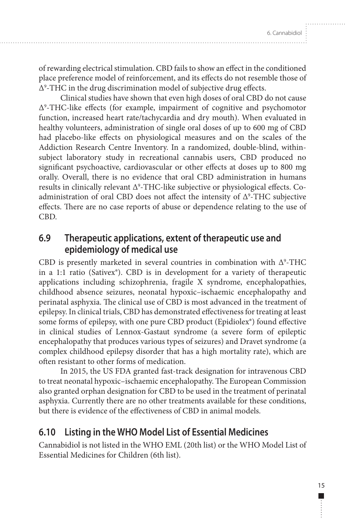<span id="page-24-0"></span>of rewarding electrical stimulation. CBD fails to show an effect in the conditioned place preference model of reinforcement, and its effects do not resemble those of Δ9 -THC in the drug discrimination model of subjective drug effects.

Clinical studies have shown that even high doses of oral CBD do not cause Δ9 -THC-like effects (for example, impairment of cognitive and psychomotor function, increased heart rate/tachycardia and dry mouth). When evaluated in healthy volunteers, administration of single oral doses of up to 600 mg of CBD had placebo-like effects on physiological measures and on the scales of the Addiction Research Centre Inventory. In a randomized, double-blind, withinsubject laboratory study in recreational cannabis users, CBD produced no significant psychoactive, cardiovascular or other effects at doses up to 800 mg orally. Overall, there is no evidence that oral CBD administration in humans results in clinically relevant Δ9 -THC-like subjective or physiological effects. Coadministration of oral CBD does not affect the intensity of  $\Delta^9$ -THC subjective effects. There are no case reports of abuse or dependence relating to the use of CBD.

#### **6.9 Therapeutic applications, extent of therapeutic use and epidemiology of medical use**

CBD is presently marketed in several countries in combination with  $\Delta^9$ -THC in a 1:1 ratio (Sativex®). CBD is in development for a variety of therapeutic applications including schizophrenia, fragile X syndrome, encephalopathies, childhood absence seizures, neonatal hypoxic–ischaemic encephalopathy and perinatal asphyxia. The clinical use of CBD is most advanced in the treatment of epilepsy. In clinical trials, CBD has demonstrated effectiveness for treating at least some forms of epilepsy, with one pure CBD product (Epidiolex®) found effective in clinical studies of Lennox-Gastaut syndrome (a severe form of epileptic encephalopathy that produces various types of seizures) and Dravet syndrome (a complex childhood epilepsy disorder that has a high mortality rate), which are often resistant to other forms of medication.

In 2015, the US FDA granted fast-track designation for intravenous CBD to treat neonatal hypoxic–ischaemic encephalopathy. The European Commission also granted orphan designation for CBD to be used in the treatment of perinatal asphyxia. Currently there are no other treatments available for these conditions, but there is evidence of the effectiveness of CBD in animal models.

#### **6.10 Listing in the WHO Model List of Essential Medicines**

Cannabidiol is not listed in the WHO EML (20th list) or the WHO Model List of Essential Medicines for Children (6th list).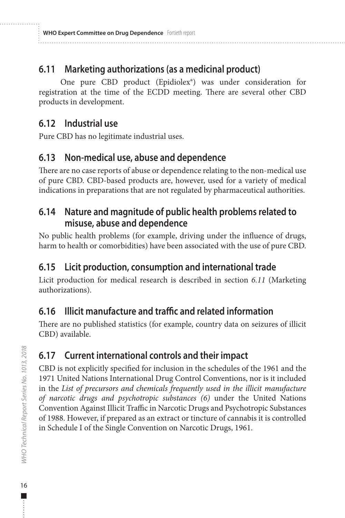# <span id="page-25-0"></span>**6.11 Marketing authorizations (as a medicinal product)**

One pure CBD product (Epidiolex®) was under consideration for registration at the time of the ECDD meeting. There are several other CBD products in development.

# **6.12 Industrial use**

Pure CBD has no legitimate industrial uses.

# **6.13 Non-medical use, abuse and dependence**

There are no case reports of abuse or dependence relating to the non-medical use of pure CBD. CBD-based products are, however, used for a variety of medical indications in preparations that are not regulated by pharmaceutical authorities.

# **6.14 Nature and magnitude of public health problems related to misuse, abuse and dependence**

No public health problems (for example, driving under the influence of drugs, harm to health or comorbidities) have been associated with the use of pure CBD.

# **6.15 Licit production, consumption and international trade**

Licit production for medical research is described in section *6.11* (Marketing authorizations).

# **6.16 Illicit manufacture and traffic and related information**

There are no published statistics (for example, country data on seizures of illicit CBD) available.

# **6.17 Current international controls and their impact**

CBD is not explicitly specified for inclusion in the schedules of the 1961 and the 1971 United Nations International Drug Control Conventions, nor is it included in the *List of precursors and chemicals frequently used in the illicit manufacture of narcotic drugs and psychotropic substances (6)* under the United Nations Convention Against Illicit Traffic in Narcotic Drugs and Psychotropic Substances of 1988. However, if prepared as an extract or tincture of cannabis it is controlled in Schedule I of the Single Convention on Narcotic Drugs, 1961.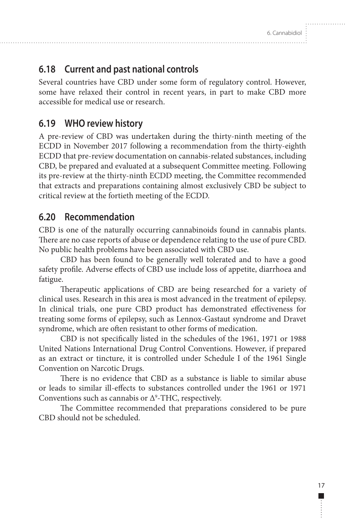#### <span id="page-26-0"></span>**6.18 Current and past national controls**

Several countries have CBD under some form of regulatory control. However, some have relaxed their control in recent years, in part to make CBD more accessible for medical use or research.

### **6.19 WHO review history**

A pre-review of CBD was undertaken during the thirty-ninth meeting of the ECDD in November 2017 following a recommendation from the thirty-eighth ECDD that pre-review documentation on cannabis-related substances, including CBD, be prepared and evaluated at a subsequent Committee meeting. Following its pre-review at the thirty-ninth ECDD meeting, the Committee recommended that extracts and preparations containing almost exclusively CBD be subject to critical review at the fortieth meeting of the ECDD.

#### **6.20 Recommendation**

CBD is one of the naturally occurring cannabinoids found in cannabis plants. There are no case reports of abuse or dependence relating to the use of pure CBD. No public health problems have been associated with CBD use.

CBD has been found to be generally well tolerated and to have a good safety profile. Adverse effects of CBD use include loss of appetite, diarrhoea and fatigue.

Therapeutic applications of CBD are being researched for a variety of clinical uses. Research in this area is most advanced in the treatment of epilepsy. In clinical trials, one pure CBD product has demonstrated effectiveness for treating some forms of epilepsy, such as Lennox-Gastaut syndrome and Dravet syndrome, which are often resistant to other forms of medication.

CBD is not specifically listed in the schedules of the 1961, 1971 or 1988 United Nations International Drug Control Conventions. However, if prepared as an extract or tincture, it is controlled under Schedule I of the 1961 Single Convention on Narcotic Drugs.

There is no evidence that CBD as a substance is liable to similar abuse or leads to similar ill-effects to substances controlled under the 1961 or 1971 Conventions such as cannabis or  $\Delta^9$ -THC, respectively.

The Committee recommended that preparations considered to be pure CBD should not be scheduled.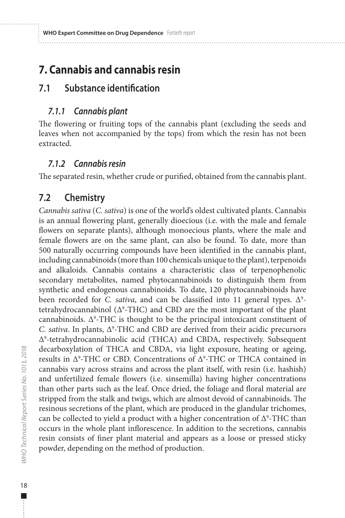# <span id="page-27-0"></span>**7. Cannabis and cannabis resin**

### **7.1 Substance identification**

#### *7.1.1 Cannabis plant*

The flowering or fruiting tops of the cannabis plant (excluding the seeds and leaves when not accompanied by the tops) from which the resin has not been extracted.

#### *7.1.2 Cannabis resin*

The separated resin, whether crude or purified, obtained from the cannabis plant.

# **7.2 Chemistry**

*Cannabis sativa* (*C. sativa*) is one of the world's oldest cultivated plants. Cannabis is an annual flowering plant, generally dioecious (i.e. with the male and female flowers on separate plants), although monoecious plants, where the male and female flowers are on the same plant, can also be found. To date, more than 500 naturally occurring compounds have been identified in the cannabis plant, including cannabinoids (more than 100 chemicals unique to the plant), terpenoids and alkaloids. Cannabis contains a characteristic class of terpenophenolic secondary metabolites, named phytocannabinoids to distinguish them from synthetic and endogenous cannabinoids. To date, 120 phytocannabinoids have been recorded for *C. sativa*, and can be classified into 11 general types. Δ<sup>9</sup>tetrahydrocannabinol ( $\Delta^9$ -THC) and CBD are the most important of the plant cannabinoids.  $\Delta^9$ -THC is thought to be the principal intoxicant constituent of C. sativa. In plants, Δ<sup>9</sup>-THC and CBD are derived from their acidic precursors Δ9 -tetrahydrocannabinolic acid (THCA) and CBDA, respectively. Subsequent decarboxylation of THCA and CBDA, via light exposure, heating or ageing, results in  $\Delta^9$ -THC or CBD. Concentrations of  $\Delta^9$ -THC or THCA contained in cannabis vary across strains and across the plant itself, with resin (i.e. hashish) and unfertilized female flowers (i.e. sinsemilla) having higher concentrations than other parts such as the leaf. Once dried, the foliage and floral material are stripped from the stalk and twigs, which are almost devoid of cannabinoids. The resinous secretions of the plant, which are produced in the glandular trichomes, can be collected to yield a product with a higher concentration of  $\Delta^9$ -THC than occurs in the whole plant inflorescence. In addition to the secretions, cannabis resin consists of finer plant material and appears as a loose or pressed sticky powder, depending on the method of production.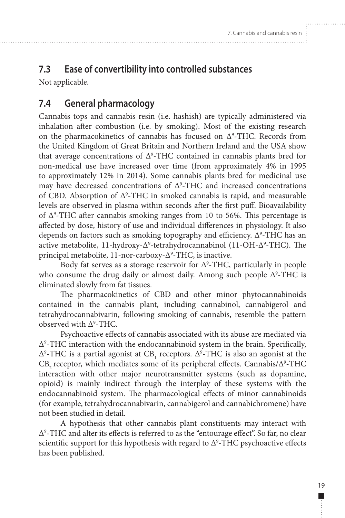# <span id="page-28-0"></span>**7.3 Ease of convertibility into controlled substances**

Not applicable.

# **7.4 General pharmacology**

Cannabis tops and cannabis resin (i.e. hashish) are typically administered via inhalation after combustion (i.e. by smoking). Most of the existing research on the pharmacokinetics of cannabis has focused on  $\Delta^9$ -THC. Records from the United Kingdom of Great Britain and Northern Ireland and the USA show that average concentrations of  $\Delta^9$ -THC contained in cannabis plants bred for non-medical use have increased over time (from approximately 4% in 1995 to approximately 12% in 2014). Some cannabis plants bred for medicinal use may have decreased concentrations of  $\Delta^9$ -THC and increased concentrations of CBD. Absorption of  $\Delta^9$ -THC in smoked cannabis is rapid, and measurable levels are observed in plasma within seconds after the first puff. Bioavailability of Δ9 -THC after cannabis smoking ranges from 10 to 56%. This percentage is affected by dose, history of use and individual differences in physiology. It also depends on factors such as smoking topography and efficiency. Δ<sup>9</sup>-THC has an active metabolite, 11-hydroxy-Δ<sup>9</sup>-tetrahydrocannabinol (11-OH-Δ<sup>9</sup>-THC). The principal metabolite, 11-nor-carboxy-Δ9 -THC, is inactive.

Body fat serves as a storage reservoir for  $\Delta^9$ -THC, particularly in people who consume the drug daily or almost daily. Among such people  $\Delta^9$ -THC is eliminated slowly from fat tissues.

The pharmacokinetics of CBD and other minor phytocannabinoids contained in the cannabis plant, including cannabinol, cannabigerol and tetrahydrocannabivarin, following smoking of cannabis, resemble the pattern observed with  $\Delta^9$ -THC.

Psychoactive effects of cannabis associated with its abuse are mediated via Δ9 -THC interaction with the endocannabinoid system in the brain. Specifically,  $Δ<sup>9</sup>-THC$  is a partial agonist at CB<sub>1</sub> receptors.  $Δ<sup>9</sup>-THC$  is also an agonist at the  $CB_2$  receptor, which mediates some of its peripheral effects. Cannabis/ $\Delta^9$ -THC interaction with other major neurotransmitter systems (such as dopamine, opioid) is mainly indirect through the interplay of these systems with the endocannabinoid system. The pharmacological effects of minor cannabinoids (for example, tetrahydrocannabivarin, cannabigerol and cannabichromene) have not been studied in detail.

A hypothesis that other cannabis plant constituents may interact with Δ9 -THC and alter its effects is referred to as the "entourage effect". So far, no clear scientific support for this hypothesis with regard to  $\Delta^9$ -THC psychoactive effects has been published.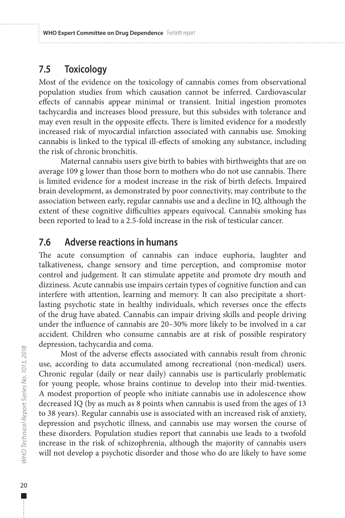# <span id="page-29-0"></span>**7.5 Toxicology**

Most of the evidence on the toxicology of cannabis comes from observational population studies from which causation cannot be inferred. Cardiovascular effects of cannabis appear minimal or transient. Initial ingestion promotes tachycardia and increases blood pressure, but this subsides with tolerance and may even result in the opposite effects. There is limited evidence for a modestly increased risk of myocardial infarction associated with cannabis use. Smoking cannabis is linked to the typical ill-effects of smoking any substance, including the risk of chronic bronchitis.

Maternal cannabis users give birth to babies with birthweights that are on average 109 g lower than those born to mothers who do not use cannabis. There is limited evidence for a modest increase in the risk of birth defects. Impaired brain development, as demonstrated by poor connectivity, may contribute to the association between early, regular cannabis use and a decline in IQ, although the extent of these cognitive difficulties appears equivocal. Cannabis smoking has been reported to lead to a 2.5-fold increase in the risk of testicular cancer.

#### **7.6 Adverse reactions in humans**

The acute consumption of cannabis can induce euphoria, laughter and talkativeness, change sensory and time perception, and compromise motor control and judgement. It can stimulate appetite and promote dry mouth and dizziness. Acute cannabis use impairs certain types of cognitive function and can interfere with attention, learning and memory. It can also precipitate a shortlasting psychotic state in healthy individuals, which reverses once the effects of the drug have abated. Cannabis can impair driving skills and people driving under the influence of cannabis are 20–30% more likely to be involved in a car accident. Children who consume cannabis are at risk of possible respiratory depression, tachycardia and coma.

Most of the adverse effects associated with cannabis result from chronic use, according to data accumulated among recreational (non-medical) users. Chronic regular (daily or near daily) cannabis use is particularly problematic for young people, whose brains continue to develop into their mid-twenties. A modest proportion of people who initiate cannabis use in adolescence show decreased IQ (by as much as 8 points when cannabis is used from the ages of 13 to 38 years). Regular cannabis use is associated with an increased risk of anxiety, depression and psychotic illness, and cannabis use may worsen the course of these disorders. Population studies report that cannabis use leads to a twofold increase in the risk of schizophrenia, although the majority of cannabis users will not develop a psychotic disorder and those who do are likely to have some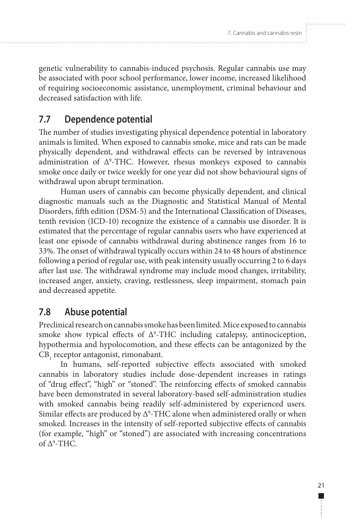<span id="page-30-0"></span>genetic vulnerability to cannabis-induced psychosis. Regular cannabis use may be associated with poor school performance, lower income, increased likelihood of requiring socioeconomic assistance, unemployment, criminal behaviour and decreased satisfaction with life.

# **7.7 Dependence potential**

The number of studies investigating physical dependence potential in laboratory animals is limited. When exposed to cannabis smoke, mice and rats can be made physically dependent, and withdrawal effects can be reversed by intravenous administration of Δ9 -THC. However, rhesus monkeys exposed to cannabis smoke once daily or twice weekly for one year did not show behavioural signs of withdrawal upon abrupt termination.

Human users of cannabis can become physically dependent, and clinical diagnostic manuals such as the Diagnostic and Statistical Manual of Mental Disorders, fifth edition (DSM-5) and the International Classification of Diseases, tenth revision (ICD-10) recognize the existence of a cannabis use disorder. It is estimated that the percentage of regular cannabis users who have experienced at least one episode of cannabis withdrawal during abstinence ranges from 16 to 33%. The onset of withdrawal typically occurs within 24 to 48 hours of abstinence following a period of regular use, with peak intensity usually occurring 2 to 6 days after last use. The withdrawal syndrome may include mood changes, irritability, increased anger, anxiety, craving, restlessness, sleep impairment, stomach pain and decreased appetite.

# **7.8 Abuse potential**

Preclinical research on cannabis smoke has been limited. Mice exposed to cannabis smoke show typical effects of  $\Delta^9$ -THC including catalepsy, antinociception, hypothermia and hypolocomotion, and these effects can be antagonized by the  $CB_1$  receptor antagonist, rimonabant.

In humans, self-reported subjective effects associated with smoked cannabis in laboratory studies include dose-dependent increases in ratings of "drug effect", "high" or "stoned". The reinforcing effects of smoked cannabis have been demonstrated in several laboratory-based self-administration studies with smoked cannabis being readily self-administered by experienced users. Similar effects are produced by  $\Delta^9$ -THC alone when administered orally or when smoked. Increases in the intensity of self-reported subjective effects of cannabis (for example, "high" or "stoned") are associated with increasing concentrations of  $\Delta^9$ -THC.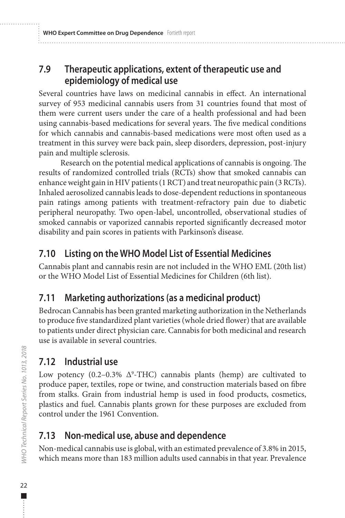# <span id="page-31-0"></span>**7.9 Therapeutic applications, extent of therapeutic use and epidemiology of medical use**

Several countries have laws on medicinal cannabis in effect. An international survey of 953 medicinal cannabis users from 31 countries found that most of them were current users under the care of a health professional and had been using cannabis-based medications for several years. The five medical conditions for which cannabis and cannabis-based medications were most often used as a treatment in this survey were back pain, sleep disorders, depression, post-injury pain and multiple sclerosis.

Research on the potential medical applications of cannabis is ongoing. The results of randomized controlled trials (RCTs) show that smoked cannabis can enhance weight gain in HIV patients (1 RCT) and treat neuropathic pain (3 RCTs). Inhaled aerosolized cannabis leads to dose-dependent reductions in spontaneous pain ratings among patients with treatment-refractory pain due to diabetic peripheral neuropathy. Two open-label, uncontrolled, observational studies of smoked cannabis or vaporized cannabis reported significantly decreased motor disability and pain scores in patients with Parkinson's disease.

# **7.10 Listing on the WHO Model List of Essential Medicines**

Cannabis plant and cannabis resin are not included in the WHO EML (20th list) or the WHO Model List of Essential Medicines for Children (6th list).

# **7.11 Marketing authorizations (as a medicinal product)**

Bedrocan Cannabis has been granted marketing authorization in the Netherlands to produce five standardized plant varieties (whole dried flower) that are available to patients under direct physician care. Cannabis for both medicinal and research use is available in several countries.

# **7.12 Industrial use**

Low potency  $(0.2-0.3\% \Delta^9-THC)$  cannabis plants (hemp) are cultivated to produce paper, textiles, rope or twine, and construction materials based on fibre from stalks. Grain from industrial hemp is used in food products, cosmetics, plastics and fuel. Cannabis plants grown for these purposes are excluded from control under the 1961 Convention.

# **7.13 Non-medical use, abuse and dependence**

Non-medical cannabis use is global, with an estimated prevalence of 3.8% in 2015, which means more than 183 million adults used cannabis in that year. Prevalence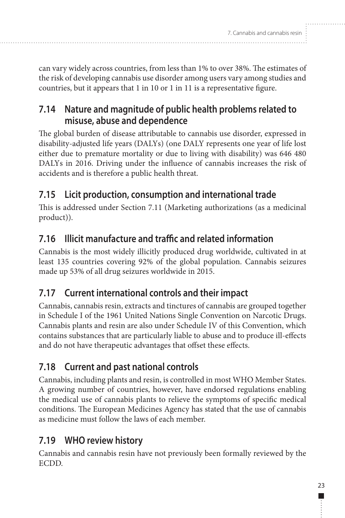<span id="page-32-0"></span>can vary widely across countries, from less than 1% to over 38%. The estimates of the risk of developing cannabis use disorder among users vary among studies and countries, but it appears that 1 in 10 or 1 in 11 is a representative figure.

# **7.14 Nature and magnitude of public health problems related to misuse, abuse and dependence**

The global burden of disease attributable to cannabis use disorder, expressed in disability-adjusted life years (DALYs) (one DALY represents one year of life lost either due to premature mortality or due to living with disability) was 646 480 DALYs in 2016. Driving under the influence of cannabis increases the risk of accidents and is therefore a public health threat.

# **7.15 Licit production, consumption and international trade**

This is addressed under Section 7.11 (Marketing authorizations (as a medicinal product)).

# **7.16 Illicit manufacture and traffic and related information**

Cannabis is the most widely illicitly produced drug worldwide, cultivated in at least 135 countries covering 92% of the global population. Cannabis seizures made up 53% of all drug seizures worldwide in 2015.

# **7.17 Current international controls and their impact**

Cannabis, cannabis resin, extracts and tinctures of cannabis are grouped together in Schedule I of the 1961 United Nations Single Convention on Narcotic Drugs. Cannabis plants and resin are also under Schedule IV of this Convention, which contains substances that are particularly liable to abuse and to produce ill-effects and do not have therapeutic advantages that offset these effects.

# **7.18 Current and past national controls**

Cannabis, including plants and resin, is controlled in most WHO Member States. A growing number of countries, however, have endorsed regulations enabling the medical use of cannabis plants to relieve the symptoms of specific medical conditions. The European Medicines Agency has stated that the use of cannabis as medicine must follow the laws of each member.

# **7.19 WHO review history**

Cannabis and cannabis resin have not previously been formally reviewed by the ECDD.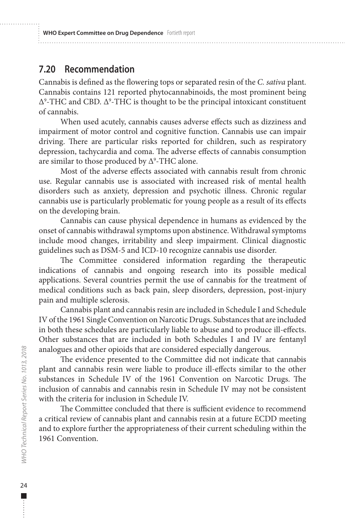### <span id="page-33-0"></span>**7.20 Recommendation**

Cannabis is defined as the flowering tops or separated resin of the *C. sativa* plant. Cannabis contains 121 reported phytocannabinoids, the most prominent being  $Δ<sup>9</sup>-THC$  and CBD.  $Δ<sup>9</sup>-THC$  is thought to be the principal intoxicant constituent of cannabis.

When used acutely, cannabis causes adverse effects such as dizziness and impairment of motor control and cognitive function. Cannabis use can impair driving. There are particular risks reported for children, such as respiratory depression, tachycardia and coma. The adverse effects of cannabis consumption are similar to those produced by  $\Delta^9$ -THC alone.

Most of the adverse effects associated with cannabis result from chronic use. Regular cannabis use is associated with increased risk of mental health disorders such as anxiety, depression and psychotic illness. Chronic regular cannabis use is particularly problematic for young people as a result of its effects on the developing brain.

Cannabis can cause physical dependence in humans as evidenced by the onset of cannabis withdrawal symptoms upon abstinence. Withdrawal symptoms include mood changes, irritability and sleep impairment. Clinical diagnostic guidelines such as DSM-5 and ICD-10 recognize cannabis use disorder.

The Committee considered information regarding the therapeutic indications of cannabis and ongoing research into its possible medical applications. Several countries permit the use of cannabis for the treatment of medical conditions such as back pain, sleep disorders, depression, post-injury pain and multiple sclerosis.

Cannabis plant and cannabis resin are included in Schedule I and Schedule IV of the 1961 Single Convention on Narcotic Drugs. Substances that are included in both these schedules are particularly liable to abuse and to produce ill-effects. Other substances that are included in both Schedules I and IV are fentanyl analogues and other opioids that are considered especially dangerous.

The evidence presented to the Committee did not indicate that cannabis plant and cannabis resin were liable to produce ill-effects similar to the other substances in Schedule IV of the 1961 Convention on Narcotic Drugs. The inclusion of cannabis and cannabis resin in Schedule IV may not be consistent with the criteria for inclusion in Schedule IV.

The Committee concluded that there is sufficient evidence to recommend a critical review of cannabis plant and cannabis resin at a future ECDD meeting and to explore further the appropriateness of their current scheduling within the 1961 Convention.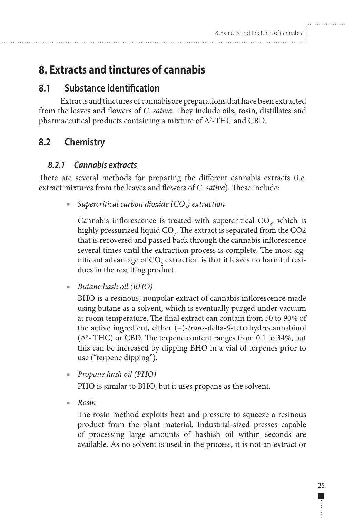# <span id="page-34-0"></span>**8. Extracts and tinctures of cannabis**

#### **8.1 Substance identification**

Extracts and tinctures of cannabis are preparations that have been extracted from the leaves and flowers of *C. sativa*. They include oils, rosin, distillates and pharmaceutical products containing a mixture of  $\Delta^9$ -THC and CBD.

# **8.2 Chemistry**

#### *8.2.1 Cannabis extracts*

There are several methods for preparing the different cannabis extracts (i.e. extract mixtures from the leaves and flowers of *C. sativa*). These include:

■ *Supercritical carbon dioxide (CO<sub>2</sub>) extraction* 

Cannabis inflorescence is treated with supercritical  $CO_2$ , which is highly pressurized liquid  $CO<sub>2</sub>$ . The extract is separated from the CO2 that is recovered and passed back through the cannabis inflorescence several times until the extraction process is complete. The most significant advantage of  $\mathrm{CO}_2^{}$  extraction is that it leaves no harmful residues in the resulting product.

■ *Butane hash oil (BHO)*

 BHO is a resinous, nonpolar extract of cannabis inflorescence made using butane as a solvent, which is eventually purged under vacuum at room temperature. The final extract can contain from 50 to 90% of the active ingredient, either (−)-*trans*-delta-9-tetrahydrocannabinol  $(\Delta^9$ - THC) or CBD. The terpene content ranges from 0.1 to 34%, but this can be increased by dipping BHO in a vial of terpenes prior to use ("terpene dipping").

■ *Propane hash oil (PHO)*

PHO is similar to BHO, but it uses propane as the solvent.

■ *Rosin*

 The rosin method exploits heat and pressure to squeeze a resinous product from the plant material. Industrial-sized presses capable of processing large amounts of hashish oil within seconds are available. As no solvent is used in the process, it is not an extract or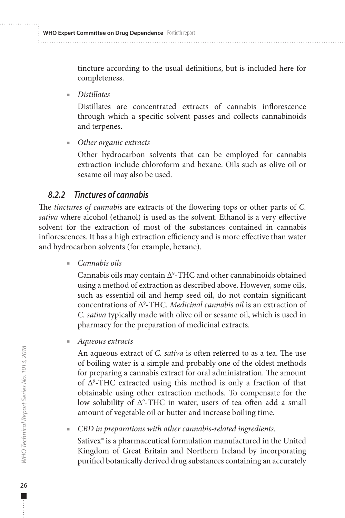tincture according to the usual definitions, but is included here for completeness.

■ *Distillates*

 Distillates are concentrated extracts of cannabis inflorescence through which a specific solvent passes and collects cannabinoids and terpenes.

■ *Other organic extracts*

 Other hydrocarbon solvents that can be employed for cannabis extraction include chloroform and hexane. Oils such as olive oil or sesame oil may also be used.

#### *8.2.2 Tinctures of cannabis*

The *tinctures of cannabis* are extracts of the flowering tops or other parts of *C. sativa* where alcohol (ethanol) is used as the solvent. Ethanol is a very effective solvent for the extraction of most of the substances contained in cannabis inflorescences. It has a high extraction efficiency and is more effective than water and hydrocarbon solvents (for example, hexane).

■ *Cannabis oils*

Cannabis oils may contain  $\Delta^9$ -THC and other cannabinoids obtained using a method of extraction as described above. However, some oils, such as essential oil and hemp seed oil, do not contain significant concentrations of Δ9 -THC. *Medicinal cannabis oil* is an extraction of *C. sativa* typically made with olive oil or sesame oil, which is used in pharmacy for the preparation of medicinal extracts.

■ *Aqueous extracts*

 An aqueous extract of *C. sativa* is often referred to as a tea. The use of boiling water is a simple and probably one of the oldest methods for preparing a cannabis extract for oral administration. The amount of Δ9 -THC extracted using this method is only a fraction of that obtainable using other extraction methods. To compensate for the low solubility of Δ<sup>9</sup>-THC in water, users of tea often add a small amount of vegetable oil or butter and increase boiling time.

■ *CBD in preparations with other cannabis-related ingredients.*

 Sativex® is a pharmaceutical formulation manufactured in the United Kingdom of Great Britain and Northern Ireland by incorporating purified botanically derived drug substances containing an accurately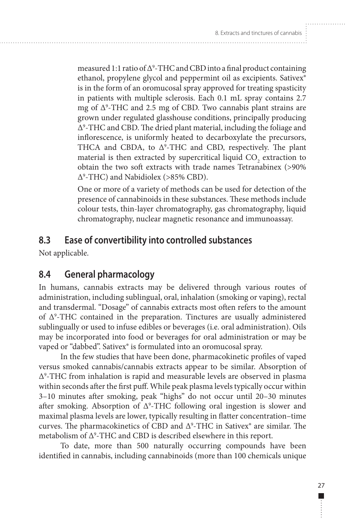<span id="page-36-0"></span>measured 1:1 ratio of  $\Delta^9$ -THC and CBD into a final product containing ethanol, propylene glycol and peppermint oil as excipients. Sativex® is in the form of an oromucosal spray approved for treating spasticity in patients with multiple sclerosis. Each 0.1 mL spray contains 2.7 mg of Δ9 -THC and 2.5 mg of CBD. Two cannabis plant strains are grown under regulated glasshouse conditions, principally producing Δ9 -THC and CBD. The dried plant material, including the foliage and inflorescence, is uniformly heated to decarboxylate the precursors, THCA and CBDA, to  $\Delta^9$ -THC and CBD, respectively. The plant material is then extracted by supercritical liquid  $CO_2$  extraction to obtain the two soft extracts with trade names Tetranabinex (>90% Δ9 -THC) and Nabidiolex (>85% CBD).

 One or more of a variety of methods can be used for detection of the presence of cannabinoids in these substances. These methods include colour tests, thin-layer chromatography, gas chromatography, liquid chromatography, nuclear magnetic resonance and immunoassay.

# **8.3 Ease of convertibility into controlled substances**

Not applicable.

# **8.4 General pharmacology**

In humans, cannabis extracts may be delivered through various routes of administration, including sublingual, oral, inhalation (smoking or vaping), rectal and transdermal. "Dosage" of cannabis extracts most often refers to the amount of Δ9 -THC contained in the preparation. Tinctures are usually administered sublingually or used to infuse edibles or beverages (i.e. oral administration). Oils may be incorporated into food or beverages for oral administration or may be vaped or "dabbed". Sativex® is formulated into an oromucosal spray.

In the few studies that have been done, pharmacokinetic profiles of vaped versus smoked cannabis/cannabis extracts appear to be similar. Absorption of Δ9 -THC from inhalation is rapid and measurable levels are observed in plasma within seconds after the first puff. While peak plasma levels typically occur within 3–10 minutes after smoking, peak "highs" do not occur until 20–30 minutes after smoking. Absorption of Δ<sup>9</sup>-THC following oral ingestion is slower and maximal plasma levels are lower, typically resulting in flatter concentration–time curves. The pharmacokinetics of CBD and  $\Delta^9$ -THC in Sativex<sup>®</sup> are similar. The metabolism of Δ<sup>9</sup>-THC and CBD is described elsewhere in this report.

To date, more than 500 naturally occurring compounds have been identified in cannabis, including cannabinoids (more than 100 chemicals unique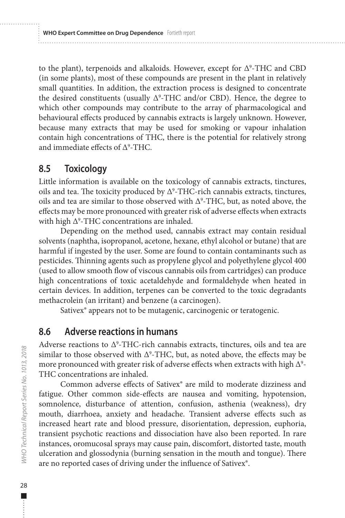<span id="page-37-0"></span>**WHO Expert Committee on Drug Dependence** Fortieth report

to the plant), terpenoids and alkaloids. However, except for  $\Delta^9\text{-}\text{THC}$  and CBD (in some plants), most of these compounds are present in the plant in relatively small quantities. In addition, the extraction process is designed to concentrate the desired constituents (usually  $\Delta^9$ -THC and/or CBD). Hence, the degree to which other compounds may contribute to the array of pharmacological and behavioural effects produced by cannabis extracts is largely unknown. However, because many extracts that may be used for smoking or vapour inhalation contain high concentrations of THC, there is the potential for relatively strong and immediate effects of  $\Delta^9$ -THC.

#### **8.5 Toxicology**

Little information is available on the toxicology of cannabis extracts, tinctures, oils and tea. The toxicity produced by  $\Delta^9$ -THC-rich cannabis extracts, tinctures, oils and tea are similar to those observed with  $\Delta^9$ -THC, but, as noted above, the effects may be more pronounced with greater risk of adverse effects when extracts with high  $\Delta^9\text{-}\text{THC}$  concentrations are inhaled.

Depending on the method used, cannabis extract may contain residual solvents (naphtha, isopropanol, acetone, hexane, ethyl alcohol or butane) that are harmful if ingested by the user. Some are found to contain contaminants such as pesticides. Thinning agents such as propylene glycol and polyethylene glycol 400 (used to allow smooth flow of viscous cannabis oils from cartridges) can produce high concentrations of toxic acetaldehyde and formaldehyde when heated in certain devices. In addition, terpenes can be converted to the toxic degradants methacrolein (an irritant) and benzene (a carcinogen).

Sativex<sup>®</sup> appears not to be mutagenic, carcinogenic or teratogenic.

#### **8.6 Adverse reactions in humans**

Adverse reactions to  $\Delta^9$ -THC-rich cannabis extracts, tinctures, oils and tea are similar to those observed with  $\Delta^9$ -THC, but, as noted above, the effects may be more pronounced with greater risk of adverse effects when extracts with high  $\Delta^9$ -THC concentrations are inhaled.

Common adverse effects of Sativex® are mild to moderate dizziness and fatigue. Other common side-effects are nausea and vomiting, hypotension, somnolence, disturbance of attention, confusion, asthenia (weakness), dry mouth, diarrhoea, anxiety and headache. Transient adverse effects such as increased heart rate and blood pressure, disorientation, depression, euphoria, transient psychotic reactions and dissociation have also been reported. In rare instances, oromucosal sprays may cause pain, discomfort, distorted taste, mouth ulceration and glossodynia (burning sensation in the mouth and tongue). There are no reported cases of driving under the influence of Sativex®.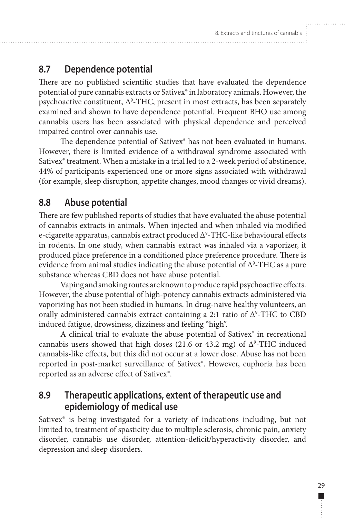# <span id="page-38-0"></span>**8.7 Dependence potential**

There are no published scientific studies that have evaluated the dependence potential of pure cannabis extracts or Sativex® in laboratory animals. However, the psychoactive constituent,  $\Delta^9$ -THC, present in most extracts, has been separately examined and shown to have dependence potential. Frequent BHO use among cannabis users has been associated with physical dependence and perceived impaired control over cannabis use.

The dependence potential of Sativex® has not been evaluated in humans. However, there is limited evidence of a withdrawal syndrome associated with Sativex® treatment. When a mistake in a trial led to a 2-week period of abstinence, 44% of participants experienced one or more signs associated with withdrawal (for example, sleep disruption, appetite changes, mood changes or vivid dreams).

### **8.8 Abuse potential**

There are few published reports of studies that have evaluated the abuse potential of cannabis extracts in animals. When injected and when inhaled via modified e-cigarette apparatus, cannabis extract produced Δ9 -THC-like behavioural effects in rodents. In one study, when cannabis extract was inhaled via a vaporizer, it produced place preference in a conditioned place preference procedure. There is evidence from animal studies indicating the abuse potential of  $\Delta^9\text{-}\text{THC}$  as a pure substance whereas CBD does not have abuse potential.

Vaping and smoking routes are known to produce rapid psychoactive effects. However, the abuse potential of high-potency cannabis extracts administered via vaporizing has not been studied in humans. In drug-naive healthy volunteers, an orally administered cannabis extract containing a 2:1 ratio of  $\Delta^9$ -THC to CBD induced fatigue, drowsiness, dizziness and feeling "high".

A clinical trial to evaluate the abuse potential of Sativex® in recreational cannabis users showed that high doses (21.6 or 43.2 mg) of  $\Delta^9$ -THC induced cannabis-like effects, but this did not occur at a lower dose. Abuse has not been reported in post-market surveillance of Sativex®. However, euphoria has been reported as an adverse effect of Sativex®.

### **8.9 Therapeutic applications, extent of therapeutic use and epidemiology of medical use**

Sativex® is being investigated for a variety of indications including, but not limited to, treatment of spasticity due to multiple sclerosis, chronic pain, anxiety disorder, cannabis use disorder, attention-deficit/hyperactivity disorder, and depression and sleep disorders.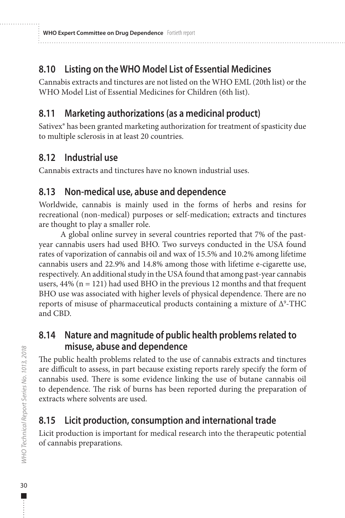# <span id="page-39-0"></span>**8.10 Listing on the WHO Model List of Essential Medicines**

Cannabis extracts and tinctures are not listed on the WHO EML (20th list) or the WHO Model List of Essential Medicines for Children (6th list).

# **8.11 Marketing authorizations (as a medicinal product)**

Sativex® has been granted marketing authorization for treatment of spasticity due to multiple sclerosis in at least 20 countries.

# **8.12 Industrial use**

Cannabis extracts and tinctures have no known industrial uses.

# **8.13 Non-medical use, abuse and dependence**

Worldwide, cannabis is mainly used in the forms of herbs and resins for recreational (non-medical) purposes or self-medication; extracts and tinctures are thought to play a smaller role.

A global online survey in several countries reported that 7% of the pastyear cannabis users had used BHO. Two surveys conducted in the USA found rates of vaporization of cannabis oil and wax of 15.5% and 10.2% among lifetime cannabis users and 22.9% and 14.8% among those with lifetime e-cigarette use, respectively. An additional study in the USA found that among past-year cannabis users,  $44\%$  (n = 121) had used BHO in the previous 12 months and that frequent BHO use was associated with higher levels of physical dependence. There are no reports of misuse of pharmaceutical products containing a mixture of  $\Delta^9\text{-}\text{THC}$ and CBD.

# **8.14 Nature and magnitude of public health problems related to misuse, abuse and dependence**

The public health problems related to the use of cannabis extracts and tinctures are difficult to assess, in part because existing reports rarely specify the form of cannabis used. There is some evidence linking the use of butane cannabis oil to dependence. The risk of burns has been reported during the preparation of extracts where solvents are used.

# **8.15 Licit production, consumption and international trade**

Licit production is important for medical research into the therapeutic potential of cannabis preparations.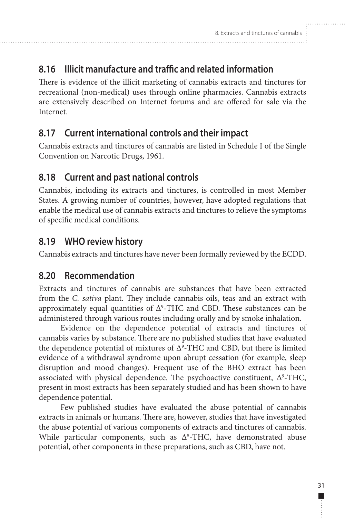# <span id="page-40-0"></span>**8.16 Illicit manufacture and traffic and related information**

There is evidence of the illicit marketing of cannabis extracts and tinctures for recreational (non-medical) uses through online pharmacies. Cannabis extracts are extensively described on Internet forums and are offered for sale via the Internet.

# **8.17 Current international controls and their impact**

Cannabis extracts and tinctures of cannabis are listed in Schedule I of the Single Convention on Narcotic Drugs, 1961.

### **8.18 Current and past national controls**

Cannabis, including its extracts and tinctures, is controlled in most Member States. A growing number of countries, however, have adopted regulations that enable the medical use of cannabis extracts and tinctures to relieve the symptoms of specific medical conditions.

# **8.19 WHO review history**

Cannabis extracts and tinctures have never been formally reviewed by the ECDD.

# **8.20 Recommendation**

Extracts and tinctures of cannabis are substances that have been extracted from the *C. sativa* plant. They include cannabis oils, teas and an extract with approximately equal quantities of  $\Delta^9$ -THC and CBD. These substances can be administered through various routes including orally and by smoke inhalation.

Evidence on the dependence potential of extracts and tinctures of cannabis varies by substance. There are no published studies that have evaluated the dependence potential of mixtures of  $\Delta^9$ -THC and CBD, but there is limited evidence of a withdrawal syndrome upon abrupt cessation (for example, sleep disruption and mood changes). Frequent use of the BHO extract has been associated with physical dependence. The psychoactive constituent,  $\Delta^9$ -THC, present in most extracts has been separately studied and has been shown to have dependence potential.

Few published studies have evaluated the abuse potential of cannabis extracts in animals or humans. There are, however, studies that have investigated the abuse potential of various components of extracts and tinctures of cannabis. While particular components, such as  $\Delta^9$ -THC, have demonstrated abuse potential, other components in these preparations, such as CBD, have not.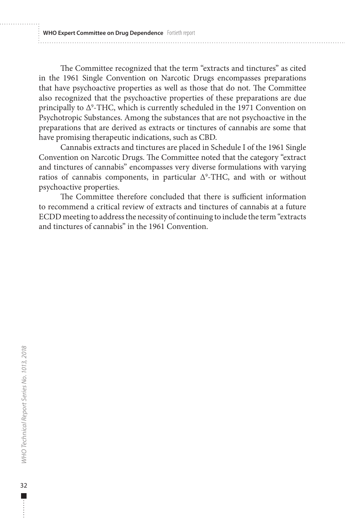The Committee recognized that the term "extracts and tinctures" as cited in the 1961 Single Convention on Narcotic Drugs encompasses preparations that have psychoactive properties as well as those that do not. The Committee also recognized that the psychoactive properties of these preparations are due principally to Δ9 -THC, which is currently scheduled in the 1971 Convention on Psychotropic Substances. Among the substances that are not psychoactive in the preparations that are derived as extracts or tinctures of cannabis are some that have promising therapeutic indications, such as CBD.

Cannabis extracts and tinctures are placed in Schedule I of the 1961 Single Convention on Narcotic Drugs. The Committee noted that the category "extract and tinctures of cannabis" encompasses very diverse formulations with varying ratios of cannabis components, in particular  $\Delta^9$ -THC, and with or without psychoactive properties.

The Committee therefore concluded that there is sufficient information to recommend a critical review of extracts and tinctures of cannabis at a future ECDD meeting to address the necessity of continuing to include the term "extracts and tinctures of cannabis" in the 1961 Convention.

Г.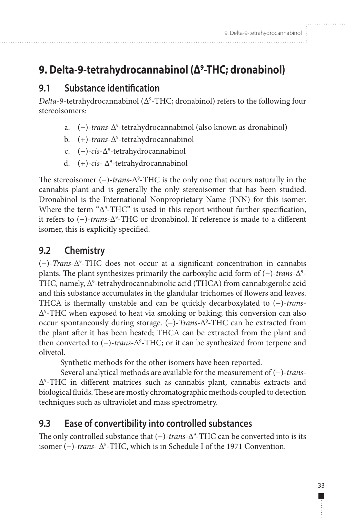# <span id="page-42-0"></span>**9. Delta-9-tetrahydrocannabinol (Δ9 -THC; dronabinol)**

# **9.1 Substance identification**

*Delta*-9-tetrahydrocannabinol (Δ9 -THC; dronabinol) refers to the following four stereoisomers:

- a. (−)-*trans*-Δ9 -tetrahydrocannabinol (also known as dronabinol)
- b. (+)-*trans*-Δ°-tetrahydrocannabinol
- c. (−)-*cis*-Δ9 -tetrahydrocannabinol
- d. (+)-*cis* Δ9 -tetrahydrocannabinol

The stereoisomer (−)-*trans*-Δ9 -THC is the only one that occurs naturally in the cannabis plant and is generally the only stereoisomer that has been studied. Dronabinol is the International Nonproprietary Name (INN) for this isomer. Where the term " $\Delta^9$ -THC" is used in this report without further specification, it refers to (−)-*trans*-Δ9 -THC or dronabinol. If reference is made to a different isomer, this is explicitly specified.

# **9.2 Chemistry**

(−)-*Trans*-Δ9 -THC does not occur at a significant concentration in cannabis plants. The plant synthesizes primarily the carboxylic acid form of (−)-*trans*-Δ9 - THC, namely, Δ<sup>9</sup>-tetrahydrocannabinolic acid (THCA) from cannabigerolic acid and this substance accumulates in the glandular trichomes of flowers and leaves. THCA is thermally unstable and can be quickly decarboxylated to (−)-*trans*-Δ9 -THC when exposed to heat via smoking or baking; this conversion can also occur spontaneously during storage. (-)-*Trans*-Δ<sup>9</sup>-THC can be extracted from the plant after it has been heated; THCA can be extracted from the plant and then converted to (−)-*trans*-Δ9 -THC; or it can be synthesized from terpene and olivetol.

Synthetic methods for the other isomers have been reported.

Several analytical methods are available for the measurement of (−)-*trans*-Δ9 -THC in different matrices such as cannabis plant, cannabis extracts and biological fluids. These are mostly chromatographic methods coupled to detection techniques such as ultraviolet and mass spectrometry.

# **9.3 Ease of convertibility into controlled substances**

The only controlled substance that (−)-*trans*-Δ9 -THC can be converted into is its isomer (−)-*trans*- Δ<sup>8</sup>-THC, which is in Schedule I of the 1971 Convention.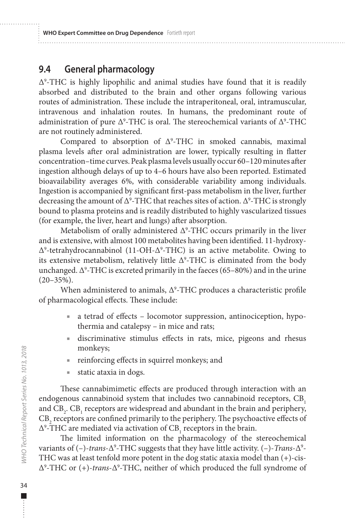### <span id="page-43-0"></span>**9.4 General pharmacology**

Δ9 -THC is highly lipophilic and animal studies have found that it is readily absorbed and distributed to the brain and other organs following various routes of administration. These include the intraperitoneal, oral, intramuscular, intravenous and inhalation routes. In humans, the predominant route of administration of pure  $\Delta^9$ -THC is oral. The stereochemical variants of  $\Delta^9$ -THC are not routinely administered.

Compared to absorption of  $\Delta^9$ -THC in smoked cannabis, maximal plasma levels after oral administration are lower, typically resulting in flatter concentration–time curves. Peak plasma levels usually occur 60–120 minutes after ingestion although delays of up to 4–6 hours have also been reported. Estimated bioavailability averages 6%, with considerable variability among individuals. Ingestion is accompanied by significant first-pass metabolism in the liver, further decreasing the amount of  $\Delta^9$ -THC that reaches sites of action.  $\Delta^9$ -THC is strongly bound to plasma proteins and is readily distributed to highly vascularized tissues (for example, the liver, heart and lungs) after absorption.

Metabolism of orally administered  $\Delta^9$ -THC occurs primarily in the liver and is extensive, with almost 100 metabolites having been identified. 11-hydroxy-Δ9 -tetrahydrocannabinol (11-OH-Δ9 -THC) is an active metabolite. Owing to its extensive metabolism, relatively little  $\Delta^9$ -THC is eliminated from the body unchanged.  $\Delta^9$ -THC is excreted primarily in the faeces (65–80%) and in the urine  $(20-35\%)$ .

When administered to animals,  $\Delta^9$ -THC produces a characteristic profile of pharmacological effects. These include:

- a tetrad of effects locomotor suppression, antinociception, hypothermia and catalepsy – in mice and rats;
- discriminative stimulus effects in rats, mice, pigeons and rhesus monkeys;
- reinforcing effects in squirrel monkeys; and
- static ataxia in dogs.

These cannabimimetic effects are produced through interaction with an endogenous cannabinoid system that includes two cannabinoid receptors, CB<sub>1</sub> and  $CB_2$ .  $CB_1$  receptors are widespread and abundant in the brain and periphery,  $\text{CB}_2$  receptors are confined primarily to the periphery. The psychoactive effects of Δ<sup>9</sup>-THC are mediated via activation of CB<sub>1</sub> receptors in the brain.

The limited information on the pharmacology of the stereochemical variants of (–)-*trans*-Δ9 -THC suggests that they have little activity. (–)-*Trans*-Δ9 - THC was at least tenfold more potent in the dog static ataxia model than (+)-cis-Δ9 -THC or (+)-*trans*-Δ9 -THC, neither of which produced the full syndrome of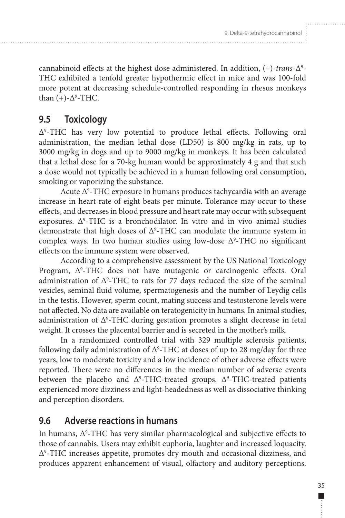<span id="page-44-0"></span>cannabinoid effects at the highest dose administered. In addition, (–)-*trans*-Δ9 - THC exhibited a tenfold greater hypothermic effect in mice and was 100-fold more potent at decreasing schedule-controlled responding in rhesus monkeys than  $(+)$ - $\Delta$ <sup>9</sup>-THC.

# **9.5 Toxicology**

Δ9 -THC has very low potential to produce lethal effects. Following oral administration, the median lethal dose (LD50) is 800 mg/kg in rats, up to 3000 mg/kg in dogs and up to 9000 mg/kg in monkeys. It has been calculated that a lethal dose for a 70-kg human would be approximately 4 g and that such a dose would not typically be achieved in a human following oral consumption, smoking or vaporizing the substance.

Acute Δ9 -THC exposure in humans produces tachycardia with an average increase in heart rate of eight beats per minute. Tolerance may occur to these effects, and decreases in blood pressure and heart rate may occur with subsequent exposures.  $\Delta^9$ -THC is a bronchodilator. In vitro and in vivo animal studies demonstrate that high doses of  $\Delta^9$ -THC can modulate the immune system in complex ways. In two human studies using low-dose  $\Delta^9$ -THC no significant effects on the immune system were observed.

According to a comprehensive assessment by the US National Toxicology Program, Δ<sup>9</sup>-THC does not have mutagenic or carcinogenic effects. Oral administration of  $\Delta^9$ -THC to rats for 77 days reduced the size of the seminal vesicles, seminal fluid volume, spermatogenesis and the number of Leydig cells in the testis. However, sperm count, mating success and testosterone levels were not affected. No data are available on teratogenicity in humans. In animal studies, administration of Δ9 -THC during gestation promotes a slight decrease in fetal weight. It crosses the placental barrier and is secreted in the mother's milk.

In a randomized controlled trial with 329 multiple sclerosis patients, following daily administration of  $\Delta^9$ -THC at doses of up to 28 mg/day for three years, low to moderate toxicity and a low incidence of other adverse effects were reported. There were no differences in the median number of adverse events between the placebo and  $\Delta^9$ -THC-treated groups.  $\Delta^9$ -THC-treated patients experienced more dizziness and light-headedness as well as dissociative thinking and perception disorders.

#### **9.6 Adverse reactions in humans**

In humans, Δ<sup>9</sup>-THC has very similar pharmacological and subjective effects to those of cannabis. Users may exhibit euphoria, laughter and increased loquacity. Δ9 -THC increases appetite, promotes dry mouth and occasional dizziness, and produces apparent enhancement of visual, olfactory and auditory perceptions.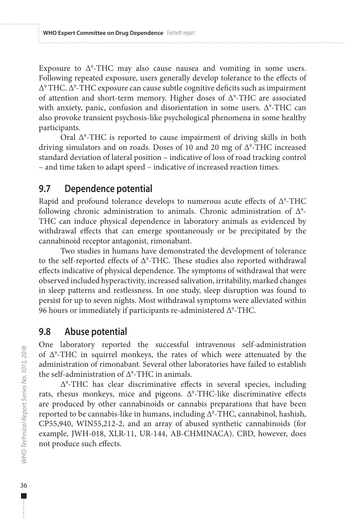<span id="page-45-0"></span>Exposure to  $\Delta^9$ -THC may also cause nausea and vomiting in some users. Following repeated exposure, users generally develop tolerance to the effects of Δ9 THC. Δ9 -THC exposure can cause subtle cognitive deficits such as impairment of attention and short-term memory. Higher doses of Δ<sup>9</sup>-THC are associated with anxiety, panic, confusion and disorientation in some users.  $\Delta^9$ -THC can also provoke transient psychosis-like psychological phenomena in some healthy participants.

Oral  $Δ<sup>9</sup>$ -THC is reported to cause impairment of driving skills in both driving simulators and on roads. Doses of 10 and 20 mg of  $\Delta^9$ -THC increased standard deviation of lateral position – indicative of loss of road tracking control – and time taken to adapt speed – indicative of increased reaction times.

#### **9.7 Dependence potential**

Rapid and profound tolerance develops to numerous acute effects of  $\Delta^9$ -THC following chronic administration to animals. Chronic administration of  $\Delta^9$ -THC can induce physical dependence in laboratory animals as evidenced by withdrawal effects that can emerge spontaneously or be precipitated by the cannabinoid receptor antagonist, rimonabant.

Two studies in humans have demonstrated the development of tolerance to the self-reported effects of  $\Delta^9$ -THC. These studies also reported withdrawal effects indicative of physical dependence. The symptoms of withdrawal that were observed included hyperactivity, increased salivation, irritability, marked changes in sleep patterns and restlessness. In one study, sleep disruption was found to persist for up to seven nights. Most withdrawal symptoms were alleviated within 96 hours or immediately if participants re-administered  $\Delta^9\text{-}\text{THC}$ .

#### **9.8 Abuse potential**

One laboratory reported the successful intravenous self-administration of Δ9 -THC in squirrel monkeys, the rates of which were attenuated by the administration of rimonabant. Several other laboratories have failed to establish the self-administration of  $\Delta^9$ -THC in animals.

Δ9 -THC has clear discriminative effects in several species, including rats, rhesus monkeys, mice and pigeons.  $\Delta^9$ -THC-like discriminative effects are produced by other cannabinoids or cannabis preparations that have been reported to be cannabis-like in humans, including  $\Delta^8$ -THC, cannabinol, hashish, CP55,940, WIN55,212-2, and an array of abused synthetic cannabinoids (for example, JWH-018, XLR-11, UR-144, AB-CHMINACA). CBD, however, does not produce such effects.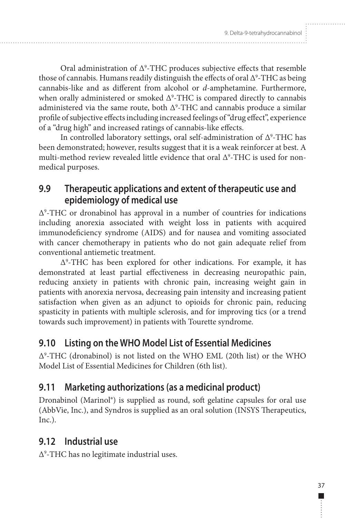<span id="page-46-0"></span>Oral administration of  $\Delta^9$ -THC produces subjective effects that resemble those of cannabis. Humans readily distinguish the effects of oral  $\Delta^9\text{-}\text{THC}$  as being cannabis-like and as different from alcohol or *d*-amphetamine. Furthermore, when orally administered or smoked  $\Delta^9$ -THC is compared directly to cannabis administered via the same route, both  $\Delta^9$ -THC and cannabis produce a similar profile of subjective effects including increased feelings of "drug effect", experience of a "drug high" and increased ratings of cannabis-like effects.

In controlled laboratory settings, oral self-administration of  $\Delta^9\text{-}\text{THC}$  has been demonstrated; however, results suggest that it is a weak reinforcer at best. A multi-method review revealed little evidence that oral  $\Delta^9\text{-THC}$  is used for nonmedical purposes.

# **9.9 Therapeutic applications and extent of therapeutic use and epidemiology of medical use**

Δ9 -THC or dronabinol has approval in a number of countries for indications including anorexia associated with weight loss in patients with acquired immunodeficiency syndrome (AIDS) and for nausea and vomiting associated with cancer chemotherapy in patients who do not gain adequate relief from conventional antiemetic treatment.

Δ9 -THC has been explored for other indications. For example, it has demonstrated at least partial effectiveness in decreasing neuropathic pain, reducing anxiety in patients with chronic pain, increasing weight gain in patients with anorexia nervosa, decreasing pain intensity and increasing patient satisfaction when given as an adjunct to opioids for chronic pain, reducing spasticity in patients with multiple sclerosis, and for improving tics (or a trend towards such improvement) in patients with Tourette syndrome.

# **9.10 Listing on the WHO Model List of Essential Medicines**

Δ9 -THC (dronabinol) is not listed on the WHO EML (20th list) or the WHO Model List of Essential Medicines for Children (6th list).

# **9.11 Marketing authorizations (as a medicinal product)**

Dronabinol (Marinol®) is supplied as round, soft gelatine capsules for oral use (AbbVie, Inc.), and Syndros is supplied as an oral solution (INSYS Therapeutics, Inc.).

# **9.12 Industrial use**

Δ9 -THC has no legitimate industrial uses.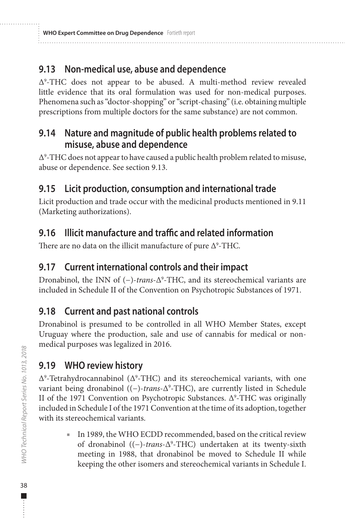# <span id="page-47-0"></span>**9.13 Non-medical use, abuse and dependence**

Δ9 -THC does not appear to be abused. A multi-method review revealed little evidence that its oral formulation was used for non-medical purposes. Phenomena such as "doctor-shopping" or "script-chasing" (i.e. obtaining multiple prescriptions from multiple doctors for the same substance) are not common.

# **9.14 Nature and magnitude of public health problems related to misuse, abuse and dependence**

Δ9 -THC does not appear to have caused a public health problem related to misuse, abuse or dependence. See section 9.13.

# **9.15 Licit production, consumption and international trade**

Licit production and trade occur with the medicinal products mentioned in 9.11 (Marketing authorizations).

# **9.16 Illicit manufacture and traffic and related information**

There are no data on the illicit manufacture of pure  $\Delta^9$ -THC.

# **9.17 Current international controls and their impact**

Dronabinol, the INN of (−)-*trans*-Δ9 -THC, and its stereochemical variants are included in Schedule II of the Convention on Psychotropic Substances of 1971.

# **9.18 Current and past national controls**

Dronabinol is presumed to be controlled in all WHO Member States, except Uruguay where the production, sale and use of cannabis for medical or nonmedical purposes was legalized in 2016.

# **9.19 WHO review history**

 $\Delta^9$ -Tetrahydrocannabinol ( $\Delta^9$ -THC) and its stereochemical variants, with one variant being dronabinol ((−)-*trans*-Δ9 -THC), are currently listed in Schedule II of the 1971 Convention on Psychotropic Substances. Δ<sup>9</sup>-THC was originally included in Schedule I of the 1971 Convention at the time of its adoption, together with its stereochemical variants.

> ■ In 1989, the WHO ECDD recommended, based on the critical review of dronabinol ((−)-*trans*-Δ9 -THC) undertaken at its twenty-sixth meeting in 1988, that dronabinol be moved to Schedule II while keeping the other isomers and stereochemical variants in Schedule I.

38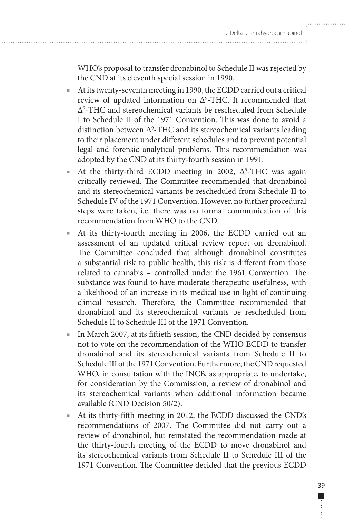WHO's proposal to transfer dronabinol to Schedule II was rejected by the CND at its eleventh special session in 1990.

- At its twenty-seventh meeting in 1990, the ECDD carried out a critical review of updated information on  $\Delta^9$ -THC. It recommended that Δ9 -THC and stereochemical variants be rescheduled from Schedule I to Schedule II of the 1971 Convention. This was done to avoid a distinction between  $\Delta^9$ -THC and its stereochemical variants leading to their placement under different schedules and to prevent potential legal and forensic analytical problems. This recommendation was adopted by the CND at its thirty-fourth session in 1991.
- At the thirty-third ECDD meeting in 2002,  $\Delta^9$ -THC was again critically reviewed. The Committee recommended that dronabinol and its stereochemical variants be rescheduled from Schedule II to Schedule IV of the 1971 Convention. However, no further procedural steps were taken, i.e. there was no formal communication of this recommendation from WHO to the CND.
- At its thirty-fourth meeting in 2006, the ECDD carried out an assessment of an updated critical review report on dronabinol. The Committee concluded that although dronabinol constitutes a substantial risk to public health, this risk is different from those related to cannabis – controlled under the 1961 Convention. The substance was found to have moderate therapeutic usefulness, with a likelihood of an increase in its medical use in light of continuing clinical research. Therefore, the Committee recommended that dronabinol and its stereochemical variants be rescheduled from Schedule II to Schedule III of the 1971 Convention.
- In March 2007, at its fiftieth session, the CND decided by consensus not to vote on the recommendation of the WHO ECDD to transfer dronabinol and its stereochemical variants from Schedule II to Schedule III of the 1971 Convention. Furthermore, the CND requested WHO, in consultation with the INCB, as appropriate, to undertake, for consideration by the Commission, a review of dronabinol and its stereochemical variants when additional information became available (CND Decision 50/2).
- At its thirty-fifth meeting in 2012, the ECDD discussed the CND's recommendations of 2007. The Committee did not carry out a review of dronabinol, but reinstated the recommendation made at the thirty-fourth meeting of the ECDD to move dronabinol and its stereochemical variants from Schedule II to Schedule III of the 1971 Convention. The Committee decided that the previous ECDD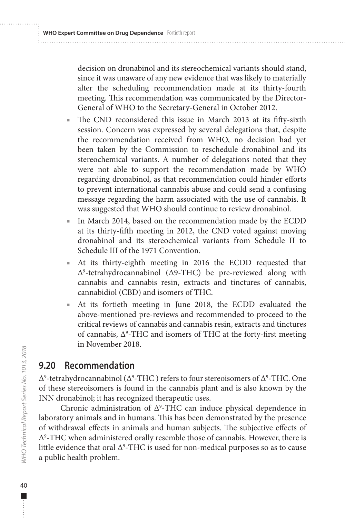<span id="page-49-0"></span>decision on dronabinol and its stereochemical variants should stand, since it was unaware of any new evidence that was likely to materially alter the scheduling recommendation made at its thirty-fourth meeting. This recommendation was communicated by the Director-General of WHO to the Secretary-General in October 2012.

- The CND reconsidered this issue in March 2013 at its fifty-sixth session. Concern was expressed by several delegations that, despite the recommendation received from WHO, no decision had yet been taken by the Commission to reschedule dronabinol and its stereochemical variants. A number of delegations noted that they were not able to support the recommendation made by WHO regarding dronabinol, as that recommendation could hinder efforts to prevent international cannabis abuse and could send a confusing message regarding the harm associated with the use of cannabis. It was suggested that WHO should continue to review dronabinol.
- In March 2014, based on the recommendation made by the ECDD at its thirty-fifth meeting in 2012, the CND voted against moving dronabinol and its stereochemical variants from Schedule II to Schedule III of the 1971 Convention.
- At its thirty-eighth meeting in 2016 the ECDD requested that Δ9 -tetrahydrocannabinol (Δ9-THC) be pre-reviewed along with cannabis and cannabis resin, extracts and tinctures of cannabis, cannabidiol (CBD) and isomers of THC.
- At its fortieth meeting in June 2018, the ECDD evaluated the above-mentioned pre-reviews and recommended to proceed to the critical reviews of cannabis and cannabis resin, extracts and tinctures of cannabis,  $\Delta^9$ -THC and isomers of THC at the forty-first meeting in November 2018.

# **9.20 Recommendation**

 $Δ<sup>9</sup>$ -tetrahydrocannabinol ( $Δ<sup>9</sup>$ -THC) refers to four stereoisomers of  $Δ<sup>9</sup>$ -THC. One of these stereoisomers is found in the cannabis plant and is also known by the INN dronabinol; it has recognized therapeutic uses.

Chronic administration of  $\Delta^9$ -THC can induce physical dependence in laboratory animals and in humans. This has been demonstrated by the presence of withdrawal effects in animals and human subjects. The subjective effects of Δ9 -THC when administered orally resemble those of cannabis. However, there is little evidence that oral  $\Delta^9$ -THC is used for non-medical purposes so as to cause a public health problem.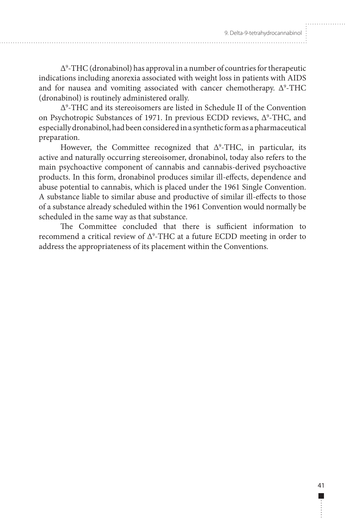Δ9 -THC (dronabinol) has approval in a number of countries for therapeutic indications including anorexia associated with weight loss in patients with AIDS and for nausea and vomiting associated with cancer chemotherapy.  $\Delta^9$ -THC (dronabinol) is routinely administered orally.

Δ9 -THC and its stereoisomers are listed in Schedule II of the Convention on Psychotropic Substances of 1971. In previous ECDD reviews, Δ<sup>9</sup>-THC, and especially dronabinol, had been considered in a synthetic form as a pharmaceutical preparation.

However, the Committee recognized that  $\Delta^9$ -THC, in particular, its active and naturally occurring stereoisomer, dronabinol, today also refers to the main psychoactive component of cannabis and cannabis-derived psychoactive products. In this form, dronabinol produces similar ill-effects, dependence and abuse potential to cannabis, which is placed under the 1961 Single Convention. A substance liable to similar abuse and productive of similar ill-effects to those of a substance already scheduled within the 1961 Convention would normally be scheduled in the same way as that substance.

The Committee concluded that there is sufficient information to recommend a critical review of  $\Delta^9$ -THC at a future ECDD meeting in order to address the appropriateness of its placement within the Conventions.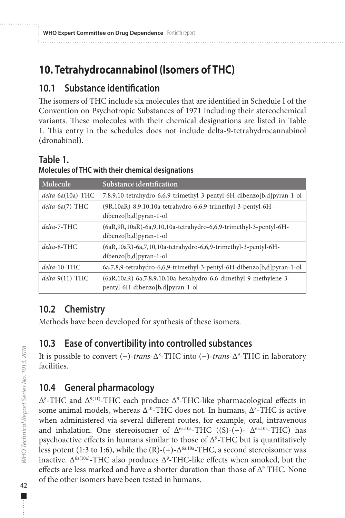# <span id="page-51-0"></span>**10. Tetrahydrocannabinol (Isomers of THC)**

# **10.1 Substance identification**

The isomers of THC include six molecules that are identified in Schedule I of the Convention on Psychotropic Substances of 1971 including their stereochemical variants. These molecules with their chemical designations are listed in Table 1. This entry in the schedules does not include delta-9-tetrahydrocannabinol (dronabinol).

# **Table 1.**

#### **Molecules of THC with their chemical designations**

| Molecule           | Substance identification                                                                              |
|--------------------|-------------------------------------------------------------------------------------------------------|
| delta-6a(10a)-THC  | 7,8,9,10-tetrahydro-6,6,9-trimethyl-3-pentyl-6H-dibenzo[b,d]pyran-1-ol                                |
| $delta$ -6a(7)-THC | (9R,10aR)-8,9,10,10a-tetrahydro-6,6,9-trimethyl-3-pentyl-6H-<br>dibenzo[b,d]pyran-1-ol                |
| $delta$ -7-THC     | $(6aR, 9R, 10aR)$ -6a, 9, 10, 10a-tetrahydro-6, 6, 9-trimethyl-3-pentyl-6H-<br>dibenzo[b,d]pyran-1-ol |
| $delta$ -8-THC     | (6aR,10aR)-6a,7,10,10a-tetrahydro-6,6,9-trimethyl-3-pentyl-6H-<br>dibenzo[b,d]pyran-1-ol              |
| $delta$ -10-THC    | 6a, 7, 8, 9-tetrahydro-6, 6, 9-trimethyl-3-pentyl-6H-dibenzo [b,d] pyran-1-ol                         |
| $delta-9(11)$ -THC | (6aR,10aR)-6a,7,8,9,10,10a-hexahydro-6,6-dimethyl-9-methylene-3-<br>pentyl-6H-dibenzo[b,d]pyran-1-ol  |

# **10.2 Chemistry**

Methods have been developed for synthesis of these isomers.

# **10.3 Ease of convertibility into controlled substances**

It is possible to convert (-)-*trans*-Δ<sup>8</sup>-THC into (-)-*trans*-Δ<sup>9</sup>-THC in laboratory facilities.

# **10.4 General pharmacology**

 $\Delta^8$ -THC and  $\Delta^{9(11)}$ -THC each produce  $\Delta^9$ -THC-like pharmacological effects in some animal models, whereas  $\Delta^{10}$ -THC does not. In humans,  $\Delta^{8}$ -THC is active when administered via several different routes, for example, oral, intravenous and inhalation. One stereoisomer of  $\Delta^{6a,10a}$ -THC ((S)-(-)-  $\Delta^{6a,10a}$ -THC) has psychoactive effects in humans similar to those of  $\Delta^9$ -THC but is quantitatively less potent (1:3 to 1:6), while the  $(R)-(+)$ - $\Delta^{6a,10a}$ -THC, a second stereoisomer was inactive.  $\Delta^{6a(10a)}$ -THC also produces  $\Delta^9$ -THC-like effects when smoked, but the effects are less marked and have a shorter duration than those of  $\Delta^9$  THC. None of the other isomers have been tested in humans.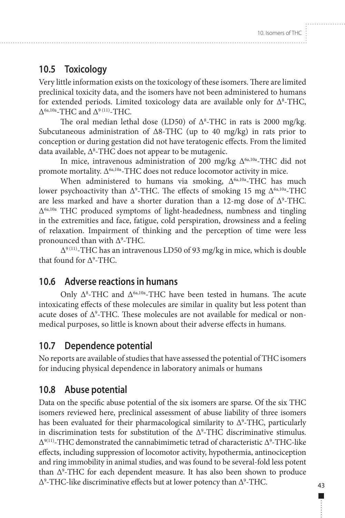# <span id="page-52-0"></span>**10.5 Toxicology**

Very little information exists on the toxicology of these isomers. There are limited preclinical toxicity data, and the isomers have not been administered to humans for extended periods. Limited toxicology data are available only for  $\Delta^8\text{-THC}$ ,  $\Delta^{6a,10a}$ -THC and  $\Delta^{9\,(11)}$ -THC.

The oral median lethal dose (LD50) of  $\Delta^8$ -THC in rats is 2000 mg/kg. Subcutaneous administration of Δ8-THC (up to 40 mg/kg) in rats prior to conception or during gestation did not have teratogenic effects. From the limited data available,  $\Delta^8$ -THC does not appear to be mutagenic.

In mice, intravenous administration of 200 mg/kg  $\Delta^{6a,10a}$ -THC did not promote mortality.  $\Delta^{6a,10a}$ -THC does not reduce locomotor activity in mice.

When administered to humans via smoking, Δ<sup>6a,10a</sup>-THC has much lower psychoactivity than  $\Delta^9\text{-THC}$ . The effects of smoking 15 mg  $\Delta^{6a,10a}\text{-THC}$ are less marked and have a shorter duration than a 12-mg dose of  $\Delta^9$ -THC. Δ6a,10a THC produced symptoms of light-headedness, numbness and tingling in the extremities and face, fatigue, cold perspiration, drowsiness and a feeling of relaxation. Impairment of thinking and the perception of time were less pronounced than with  $\Delta^9$ -THC.

 $\Delta^{9 \, (11)}$ -THC has an intravenous LD50 of 93 mg/kg in mice, which is double that found for  $\Delta^9$ -THC.

#### **10.6 Adverse reactions in humans**

Only  $\Delta^8$ -THC and  $\Delta^{6a,10a}$ -THC have been tested in humans. The acute intoxicating effects of these molecules are similar in quality but less potent than acute doses of  $\Delta^9$ -THC. These molecules are not available for medical or nonmedical purposes, so little is known about their adverse effects in humans.

# **10.7 Dependence potential**

No reports are available of studies that have assessed the potential of THC isomers for inducing physical dependence in laboratory animals or humans

# **10.8 Abuse potential**

Data on the specific abuse potential of the six isomers are sparse. Of the six THC isomers reviewed here, preclinical assessment of abuse liability of three isomers has been evaluated for their pharmacological similarity to  $\Delta^9$ -THC, particularly in discrimination tests for substitution of the  $\Delta^9$ -THC discriminative stimulus.  $\Delta^{9(11)}$ -THC demonstrated the cannabimimetic tetrad of characteristic  $\Delta^9$ -THC-like effects, including suppression of locomotor activity, hypothermia, antinociception and ring immobility in animal studies, and was found to be several-fold less potent than  $\Delta^9$ -THC for each dependent measure. It has also been shown to produce Δ9 -THC-like discriminative effects but at lower potency than Δ9 -THC.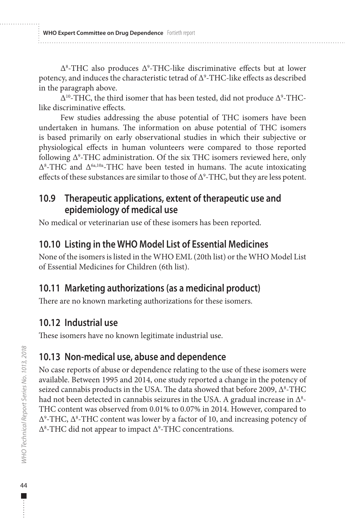<span id="page-53-0"></span> $\Delta^8$ -THC also produces  $\Delta^9$ -THC-like discriminative effects but at lower potency, and induces the characteristic tetrad of  $\Delta^9\text{-}\text{THC-like}$  effects as described in the paragraph above.

 $\Delta^{10}\text{-}\text{THC}$ , the third isomer that has been tested, did not produce  $\Delta^{9}\text{-}\text{THC}$ like discriminative effects.

Few studies addressing the abuse potential of THC isomers have been undertaken in humans. The information on abuse potential of THC isomers is based primarily on early observational studies in which their subjective or physiological effects in human volunteers were compared to those reported following Δ9 -THC administration. Of the six THC isomers reviewed here, only  $\Delta^8$ -THC and  $\Delta^{6a,10a}$ -THC have been tested in humans. The acute intoxicating effects of these substances are similar to those of  $\Delta^9$ -THC, but they are less potent.

# **10.9 Therapeutic applications, extent of therapeutic use and epidemiology of medical use**

No medical or veterinarian use of these isomers has been reported.

# **10.10 Listing in the WHO Model List of Essential Medicines**

None of the isomers is listed in the WHO EML (20th list) or the WHO Model List of Essential Medicines for Children (6th list).

# **10.11 Marketing authorizations (as a medicinal product)**

There are no known marketing authorizations for these isomers.

# **10.12 Industrial use**

These isomers have no known legitimate industrial use.

# **10.13 Non-medical use, abuse and dependence**

No case reports of abuse or dependence relating to the use of these isomers were available. Between 1995 and 2014, one study reported a change in the potency of seized cannabis products in the USA. The data showed that before 2009,  $\Delta^8\text{-THC}$ had not been detected in cannabis seizures in the USA. A gradual increase in  $\Delta^8$ -THC content was observed from 0.01% to 0.07% in 2014. However, compared to Δ9 -THC, Δ8 -THC content was lower by a factor of 10, and increasing potency of Δ8 -THC did not appear to impact Δ9 -THC concentrations.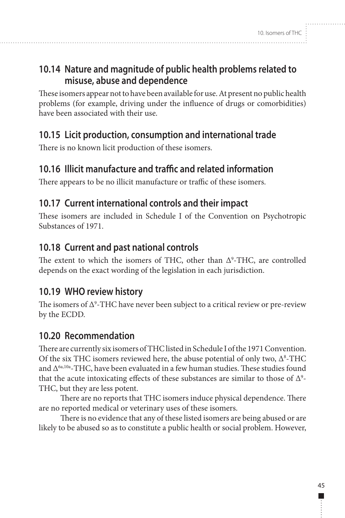# <span id="page-54-0"></span>**10.14 Nature and magnitude of public health problems related to misuse, abuse and dependence**

These isomers appear not to have been available for use. At present no public health problems (for example, driving under the influence of drugs or comorbidities) have been associated with their use.

# **10.15 Licit production, consumption and international trade**

There is no known licit production of these isomers.

# **10.16 Illicit manufacture and traffic and related information**

There appears to be no illicit manufacture or traffic of these isomers.

# **10.17 Current international controls and their impact**

These isomers are included in Schedule I of the Convention on Psychotropic Substances of 1971.

# **10.18 Current and past national controls**

The extent to which the isomers of THC, other than  $\Delta^9$ -THC, are controlled depends on the exact wording of the legislation in each jurisdiction.

# **10.19 WHO review history**

The isomers of  $\Delta^9$ -THC have never been subject to a critical review or pre-review by the ECDD.

# **10.20 Recommendation**

There are currently six isomers of THC listed in Schedule I of the 1971 Convention. Of the six THC isomers reviewed here, the abuse potential of only two,  $\Delta^8$ -THC and  $\Delta^{6a,10a}$ -THC, have been evaluated in a few human studies. These studies found that the acute intoxicating effects of these substances are similar to those of  $\Delta^9$ -THC, but they are less potent.

There are no reports that THC isomers induce physical dependence. There are no reported medical or veterinary uses of these isomers.

There is no evidence that any of these listed isomers are being abused or are likely to be abused so as to constitute a public health or social problem. However,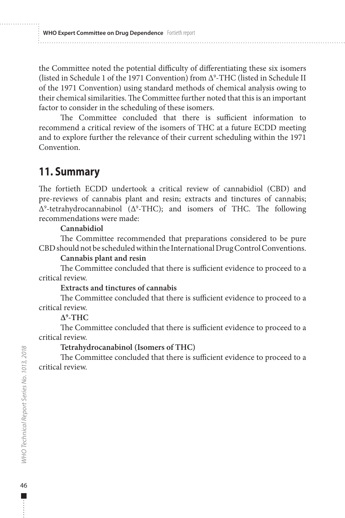<span id="page-55-0"></span>the Committee noted the potential difficulty of differentiating these six isomers (listed in Schedule 1 of the 1971 Convention) from  $\Delta^9$ -THC (listed in Schedule II of the 1971 Convention) using standard methods of chemical analysis owing to their chemical similarities. The Committee further noted that this is an important factor to consider in the scheduling of these isomers.

The Committee concluded that there is sufficient information to recommend a critical review of the isomers of THC at a future ECDD meeting and to explore further the relevance of their current scheduling within the 1971 Convention.

# **11. Summary**

The fortieth ECDD undertook a critical review of cannabidiol (CBD) and pre-reviews of cannabis plant and resin; extracts and tinctures of cannabis; Δ9 -tetrahydrocannabinol (Δ9 -THC); and isomers of THC. The following recommendations were made:

#### **Cannabidiol**

The Committee recommended that preparations considered to be pure CBD should not be scheduled within the International Drug Control Conventions.

#### **Cannabis plant and resin**

The Committee concluded that there is sufficient evidence to proceed to a critical review.

#### **Extracts and tinctures of cannabis**

The Committee concluded that there is sufficient evidence to proceed to a critical review.

#### **Δ9 -THC**

The Committee concluded that there is sufficient evidence to proceed to a critical review.

#### **Tetrahydrocanabinol (Isomers of THC)**

The Committee concluded that there is sufficient evidence to proceed to a critical review.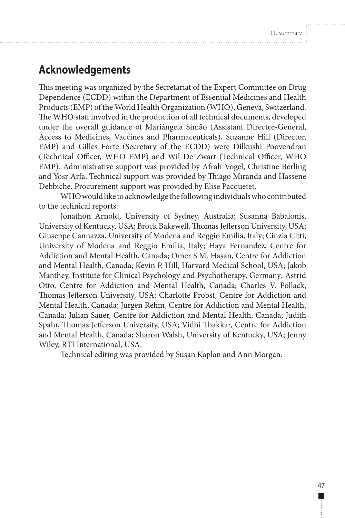# <span id="page-56-0"></span>**Acknowledgements**

This meeting was organized by the Secretariat of the Expert Committee on Drug Dependence (ECDD) within the Department of Essential Medicines and Health Products (EMP) of the World Health Organization (WHO), Geneva, Switzerland. The WHO staff involved in the production of all technical documents, developed under the overall guidance of Mariângela Simão (Assistant Director-General, Access to Medicines, Vaccines and Pharmaceuticals), Suzanne Hill (Director, EMP) and Gilles Forte (Secretary of the ECDD) were Dilkushi Poovendran (Technical Officer, WHO EMP) and Wil De Zwart (Technical Officer, WHO EMP). Administrative support was provided by Afrah Vogel, Christine Berling and Yosr Arfa. Technical support was provided by Thiago Miranda and Hassene Debbiche. Procurement support was provided by Elise Pacquetet.

WHO would like to acknowledge the following individuals who contributed to the technical reports:

Jonathon Arnold, University of Sydney, Australia; Susanna Babalonis, University of Kentucky, USA; Brock Bakewell, Thomas Jefferson University, USA; Giuseppe Cannazza, University of Modena and Reggio Emilia, Italy; Cinzia Citti, University of Modena and Reggio Emilia, Italy; Haya Fernandez, Centre for Addiction and Mental Health, Canada; Omer S.M. Hasan, Centre for Addiction and Mental Health, Canada; Kevin P. Hill, Harvard Medical School, USA; Jakob Manthey, Institute for Clinical Psychology and Psychotherapy, Germany; Astrid Otto, Centre for Addiction and Mental Health, Canada; Charles V. Pollack, Thomas Jefferson University, USA; Charlotte Probst, Centre for Addiction and Mental Health, Canada; Jurgen Rehm, Centre for Addiction and Mental Health, Canada; Julian Sauer, Centre for Addiction and Mental Health, Canada; Judith Spahr, Thomas Jefferson University, USA; Vidhi Thakkar, Centre for Addiction and Mental Health, Canada; Sharon Walsh, University of Kentucky, USA; Jenny Wiley, RTI International, USA.

Technical editing was provided by Susan Kaplan and Ann Morgan.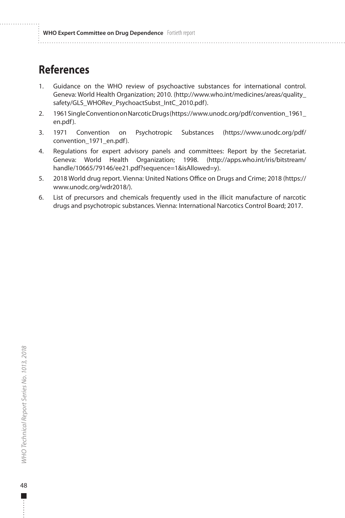#### <span id="page-57-0"></span>

# **References**

- 1. Guidance on the WHO review of psychoactive substances for international control. Geneva: World Health Organization; 2010. (http://www.who.int/medicines/areas/quality\_ safety/GLS\_WHORev\_PsychoactSubst\_IntC\_2010.pdf).
- 2. 1961 Single Convention on Narcotic Drugs (https://www.unodc.org/pdf/convention\_1961\_ en.pdf).
- 3. 1971 Convention on Psychotropic Substances (https://www.unodc.org/pdf/ convention\_1971\_en.pdf).
- 4. Regulations for expert advisory panels and committees: Report by the Secretariat. Geneva: World Health Organization; 1998. (http://apps.who.int/iris/bitstream/ handle/10665/79146/ee21.pdf?sequence=1&isAllowed=y).
- 5. 2018 World drug report. Vienna: United Nations Office on Drugs and Crime; 2018 (https:// www.unodc.org/wdr2018/).
- 6. List of precursors and chemicals frequently used in the illicit manufacture of narcotic drugs and psychotropic substances. Vienna: International Narcotics Control Board; 2017.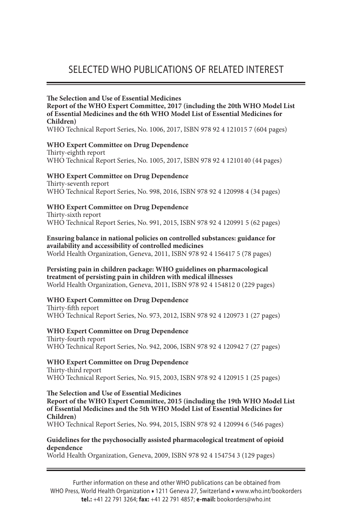# SELECTED WHO PUBLICATIONS OF RELATED INTEREST

#### **The Selection and Use of Essential Medicines**

**Report of the WHO Expert Committee, 2017 (including the 20th WHO Model List of Essential Medicines and the 6th WHO Model List of Essential Medicines for Children)**

WHO Technical Report Series, No. 1006, 2017, ISBN 978 92 4 121015 7 (604 pages)

#### **WHO Expert Committee on Drug Dependence**

Thirty-eighth report WHO Technical Report Series, No. 1005, 2017, ISBN 978 92 4 1210140 (44 pages)

#### **WHO Expert Committee on Drug Dependence** Thirty-seventh report WHO Technical Report Series, No. 998, 2016, ISBN 978 92 4 120998 4 (34 pages)

#### **WHO Expert Committee on Drug Dependence**

Thirty-sixth report WHO Technical Report Series, No. 991, 2015, ISBN 978 92 4 120991 5 (62 pages)

**Ensuring balance in national policies on controlled substances: guidance for availability and accessibility of controlled medicines** World Health Organization, Geneva, 2011, ISBN 978 92 4 156417 5 (78 pages)

**Persisting pain in children package: WHO guidelines on pharmacological treatment of persisting pain in children with medical illnesses** World Health Organization, Geneva, 2011, ISBN 978 92 4 154812 0 (229 pages)

#### **WHO Expert Committee on Drug Dependence**

Thirty-fifth report WHO Technical Report Series, No. 973, 2012, ISBN 978 92 4 120973 1 (27 pages)

#### **WHO Expert Committee on Drug Dependence**

Thirty-fourth report WHO Technical Report Series, No. 942, 2006, ISBN 978 92 4 120942 7 (27 pages)

#### **WHO Expert Committee on Drug Dependence**

Thirty-third report WHO Technical Report Series, No. 915, 2003, ISBN 978 92 4 120915 1 (25 pages)

**The Selection and Use of Essential Medicines**

**Report of the WHO Expert Committee, 2015 (including the 19th WHO Model List of Essential Medicines and the 5th WHO Model List of Essential Medicines for Children)**

WHO Technical Report Series, No. 994, 2015, ISBN 978 92 4 120994 6 (546 pages)

#### **Guidelines for the psychosocially assisted pharmacological treatment of opioid dependence**

World Health Organization, Geneva, 2009, ISBN 978 92 4 154754 3 (129 pages)

 Further information on these and other WHO publications can be obtained from WHO Press, World Health Organization = 1211 Geneva 27, Switzerland = www.who.int/bookorders **tel.:** +41 22 791 3264; **fax:** +41 22 791 4857; **e-mail:** bookorders@who.int